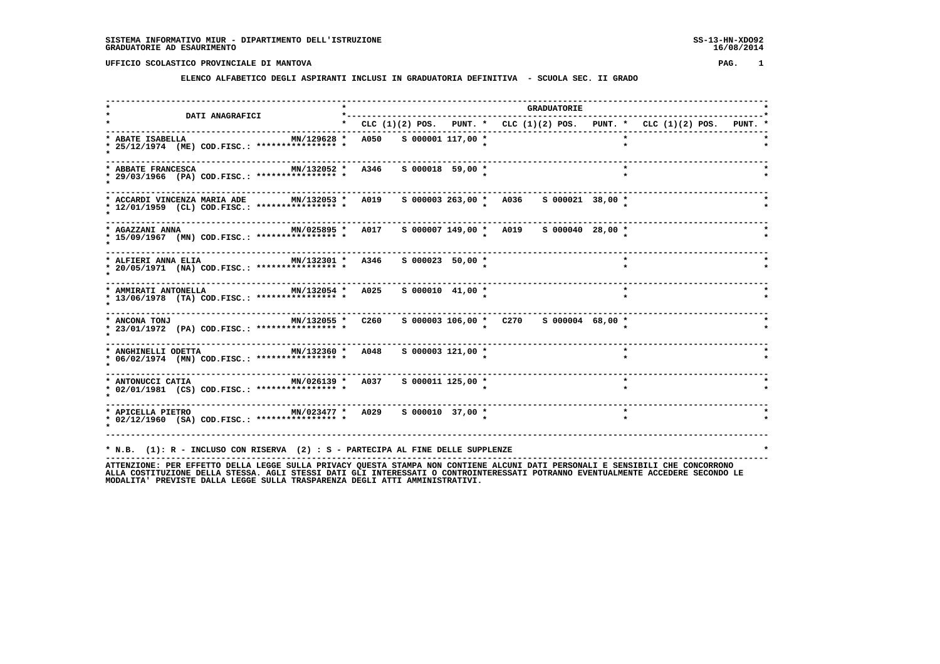#### **ELENCO ALFABETICO DEGLI ASPIRANTI INCLUSI IN GRADUATORIA DEFINITIVA - SCUOLA SEC. II GRADO**

 **------------------------------------------------------------------------------------------------------------------------------------ \* \* GRADUATORIE \* \* DATI ANAGRAFICI \*-----------------------------------------------------------------------------------\* \* \* CLC (1)(2) POS. PUNT. \* CLC (1)(2) POS. PUNT. \* CLC (1)(2) POS. PUNT. \* ------------------------------------------------------------------------------------------------------------------------------------ \* ABATE ISABELLA MN/129628 \* A050 S 000001 117,00 \* \* \* \* 25/12/1974 (ME) COD.FISC.: \*\*\*\*\*\*\*\*\*\*\*\*\*\*\*\* \* \* \* \* \* ------------------------------------------------------------------------------------------------------------------------------------ \* ABBATE FRANCESCA MN/132052 \* A346 S 000018 59,00 \* \* \* \* 29/03/1966 (PA) COD.FISC.: \*\*\*\*\*\*\*\*\*\*\*\*\*\*\*\* \* \* \* \* \* ------------------------------------------------------------------------------------------------------------------------------------ \* ACCARDI VINCENZA MARIA ADE MN/132053 \* A019 S 000003 263,00 \* A036 S 000021 38,00 \* \* \* 12/01/1959 (CL) COD.FISC.: \*\*\*\*\*\*\*\*\*\*\*\*\*\*\*\* \* \* \* \* \* ------------------------------------------------------------------------------------------------------------------------------------ \* AGAZZANI ANNA MN/025895 \* A017 S 000007 149,00 \* A019 S 000040 28,00 \* \* \* 15/09/1967 (MN) COD.FISC.: \*\*\*\*\*\*\*\*\*\*\*\*\*\*\*\* \* \* \* \* \***--------------------- **------------------------------------------------------------------------------------------------------------------------------------**\* ALFIERI ANNA ELIA MN/132301 \* A346 S 000023 50,00 \*  **\* 20/05/1971 (NA) COD.FISC.: \*\*\*\*\*\*\*\*\*\*\*\*\*\*\*\* \* \* \* \* \* ------------------------------------------------------------------------------------------------------------------------------------ \* AMMIRATI ANTONELLA MN/132054 \* A025 S 000010 41,00 \* \* \* \* 13/06/1978 (TA) COD.FISC.: \*\*\*\*\*\*\*\*\*\*\*\*\*\*\*\* \* \* \* \* \* ------------------------------------------------------------------------------------------------------------------------------------ \* ANCONA TONJ MN/132055 \* C260 S 000003 106,00 \* C270 S 000004 68,00 \* \* \* 23/01/1972 (PA) COD.FISC.: \*\*\*\*\*\*\*\*\*\*\*\*\*\*\*\* \* \* \* \* \* ------------------------------------------------------------------------------------------------------------------------------------ \* ANGHINELLI ODETTA MN/132360 \* A048 S 000003 121,00 \* \* \* \* 06/02/1974 (MN) COD.FISC.: \*\*\*\*\*\*\*\*\*\*\*\*\*\*\*\* \* \* \* \* \* ------------------------------------------------------------------------------------------------------------------------------------ \* ANTONUCCI CATIA MN/026139 \* A037 S 000011 125,00 \* \* \* \* 02/01/1981 (CS) COD.FISC.: \*\*\*\*\*\*\*\*\*\*\*\*\*\*\*\* \* \* \* \* \* ------------------------------------------------------------------------------------------------------------------------------------ \* APICELLA PIETRO MN/023477 \* A029 S 000010 37,00 \* \* \* \* 02/12/1960 (SA) COD.FISC.: \*\*\*\*\*\*\*\*\*\*\*\*\*\*\*\* \* \* \* \* \* ------------------------------------------------------------------------------------------------------------------------------------ \* N.B. (1): R - INCLUSO CON RISERVA (2) : S - PARTECIPA AL FINE DELLE SUPPLENZE \***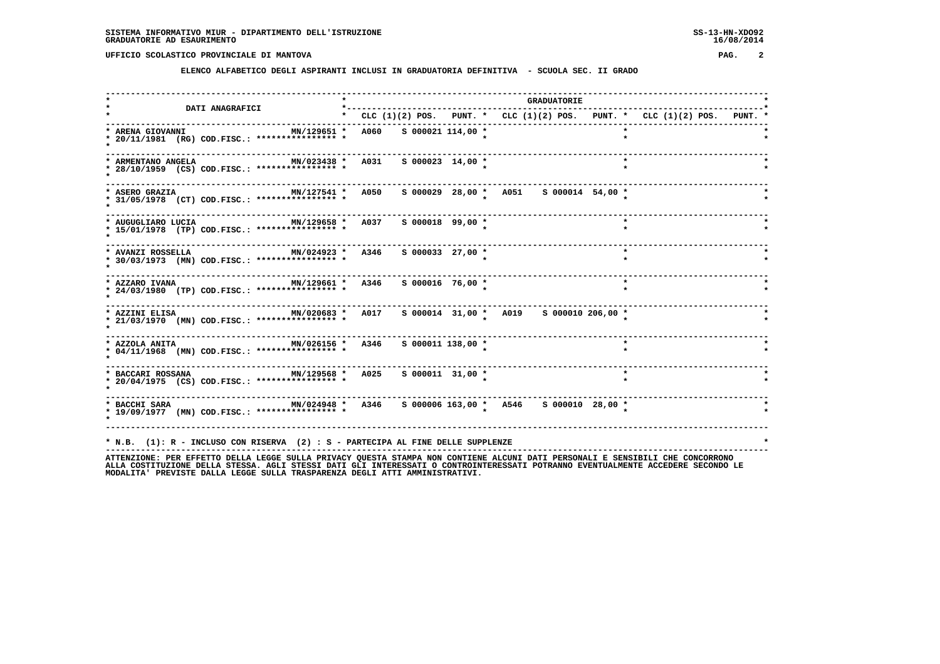**ELENCO ALFABETICO DEGLI ASPIRANTI INCLUSI IN GRADUATORIA DEFINITIVA - SCUOLA SEC. II GRADO**

|                                                                                                                   |             |                       |                           |                                         | <b>GRADUATORIE</b> |         |                                                                         |  |
|-------------------------------------------------------------------------------------------------------------------|-------------|-----------------------|---------------------------|-----------------------------------------|--------------------|---------|-------------------------------------------------------------------------|--|
| DATI ANAGRAFICI                                                                                                   |             |                       | ------------------------- |                                         |                    |         | * CLC (1)(2) POS. PUNT. * CLC (1)(2) POS. PUNT. * CLC (1)(2) POS. PUNT. |  |
| MN/129651 *<br>* ARENA GIOVANNI<br>* 20/11/1981 (RG) COD.FISC.: **************** *                                | <b>A060</b> | $S$ 000021 114,00 $*$ |                           |                                         |                    | $\star$ |                                                                         |  |
| MN/023438 * A031<br>* ARMENTANO ANGELA<br>* 28/10/1959 (CS) COD.FISC.: **************** *                         |             | $S$ 000023 14,00 *    |                           |                                         |                    | $\star$ |                                                                         |  |
| MN/127541 * A050<br>* ASERO GRAZIA<br>* 31/05/1978 (CT) COD.FISC.: **************** *                             |             |                       |                           | s 000029 28,00 * A051 s 000014 54,00 *  |                    |         |                                                                         |  |
| --------------------<br>MN/129658 * A037<br>* AUGUGLIARO LUCIA<br>* 15/01/1978 (TP) COD.FISC.: **************** * |             | $S$ 000018 99,00 *    |                           |                                         |                    | $\star$ |                                                                         |  |
| MN/024923 * A346 S 000033 27,00 *<br>* AVANZI ROSSELLA<br>* 30/03/1973 (MN) COD.FISC.: **************** *         |             |                       |                           |                                         |                    | $\star$ |                                                                         |  |
| MN/129661 * A346 S 000016 76,00 *<br>* AZZARO IVANA<br>* 24/03/1980 (TP) COD.FISC.: **************** *            |             |                       |                           |                                         |                    | $\star$ |                                                                         |  |
| * 21/03/1970 (MN) COD.FISC.: **************** *                                                                   |             |                       |                           |                                         |                    |         |                                                                         |  |
| * AZZOLA ANITA $MN/026156$ * A346 \$ 000011 138,00 *<br>* 04/11/1968 (MN) COD.FISC.: **************** *           |             |                       |                           |                                         |                    | $\star$ |                                                                         |  |
| $MN/129568$ * A025<br>* BACCARI ROSSANA<br>* 20/04/1975 (CS) COD.FISC.: **************** *                        |             | $S$ 000011 31,00 *    |                           |                                         |                    | $\star$ |                                                                         |  |
| MN/024948 * A346<br>* BACCHI SARA<br>* 19/09/1977 (MN) COD.FISC.: **************** *                              |             |                       |                           | s 000006 163,00 * A546 s 000010 28,00 * |                    |         |                                                                         |  |
| * N.B. (1): R - INCLUSO CON RISERVA (2) : S - PARTECIPA AL FINE DELLE SUPPLENZE                                   |             |                       |                           |                                         |                    |         |                                                                         |  |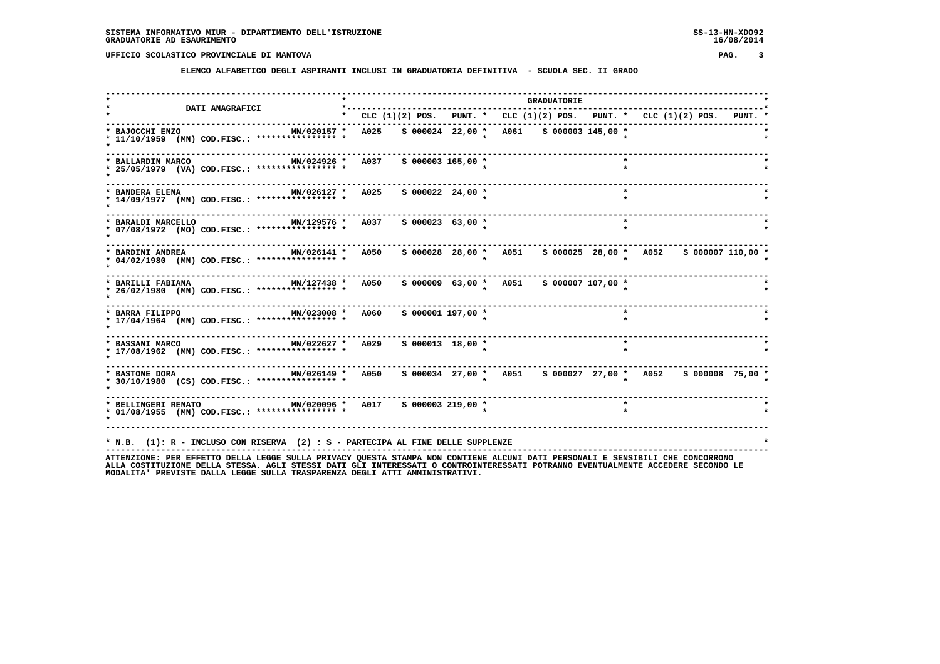**ELENCO ALFABETICO DEGLI ASPIRANTI INCLUSI IN GRADUATORIA DEFINITIVA - SCUOLA SEC. II GRADO**

|                                                                                                              |                                                                           |  |                       |  | <b>GRADUATORIE</b> |                                                               |         |  |  |  |
|--------------------------------------------------------------------------------------------------------------|---------------------------------------------------------------------------|--|-----------------------|--|--------------------|---------------------------------------------------------------|---------|--|--|--|
| DATI ANAGRAFICI                                                                                              | * CLC (1)(2) POS. PUNT. * CLC (1)(2) POS. PUNT. * CLC (1)(2) POS. PUNT. * |  |                       |  |                    |                                                               |         |  |  |  |
| * BAJOCCHI ENZO<br>MN/020157 *<br>* 11/10/1959 (MN) COD.FISC.: **************** *                            | A025                                                                      |  |                       |  |                    | S 000024 22,00 * A061 S 000003 145,00 *                       |         |  |  |  |
| MN/024926 * A037<br>* BALLARDIN MARCO<br>* 25/05/1979 (VA) COD.FISC.: **************** *                     |                                                                           |  | S 000003 165,00 *     |  |                    |                                                               | $\star$ |  |  |  |
| MN/026127 * A025<br>* BANDERA ELENA<br>* 14/09/1977 (MN) COD.FISC.: **************** *                       |                                                                           |  | $S$ 000022 24,00 *    |  |                    |                                                               | $\star$ |  |  |  |
| MN/129576 * A037<br>* BARALDI MARCELLO<br>* 07/08/1972 (MO) COD.FISC.: **************** *                    |                                                                           |  | $S$ 000023 63,00 *    |  |                    |                                                               | $\star$ |  |  |  |
| MN/026141 * A050<br>* BARDINI ANDREA<br>* 04/02/1980 (MN) COD.FISC.: **************** *                      |                                                                           |  |                       |  |                    | s 000028 28,00 * A051 s 000025 28,00 * A052 s 000007 110,00 * |         |  |  |  |
| MN/127438 * A050<br>* BARILLI FABIANA<br>* 26/02/1980 (MN) COD.FISC.: *************** *                      |                                                                           |  |                       |  |                    | S 000009 63,00 * A051 S 000007 107,00 *                       |         |  |  |  |
| MN/023008 *<br>* BARRA FILIPPO<br>* 17/04/1964 (MN) COD.FISC.: **************** *                            | <b>A060</b>                                                               |  | $S$ 000001 197,00 $*$ |  |                    |                                                               | $\star$ |  |  |  |
| $MN/022627$ * A029<br>* BASSANI MARCO<br>* 17/08/1962 (MN) COD.FISC.: **************** *                     |                                                                           |  | $S$ 000013 18,00 *    |  |                    |                                                               | $\star$ |  |  |  |
| * BASTONE DORA <b>MN/026149 *</b> A050<br>* 30/10/1980 (CS) COD.FISC.: **************** *                    |                                                                           |  |                       |  |                    | s 000034 27,00 * A051 s 000027 27,00 * A052 s 000008 75,00 *  |         |  |  |  |
| MN/020096 * A017 S 000003 219,00 *<br>* BELLINGERI RENATO<br>* 01/08/1955 (MN) COD.FISC.: **************** * |                                                                           |  |                       |  |                    |                                                               |         |  |  |  |
| * N.B. (1): R - INCLUSO CON RISERVA (2) : S - PARTECIPA AL FINE DELLE SUPPLENZE                              |                                                                           |  |                       |  |                    |                                                               |         |  |  |  |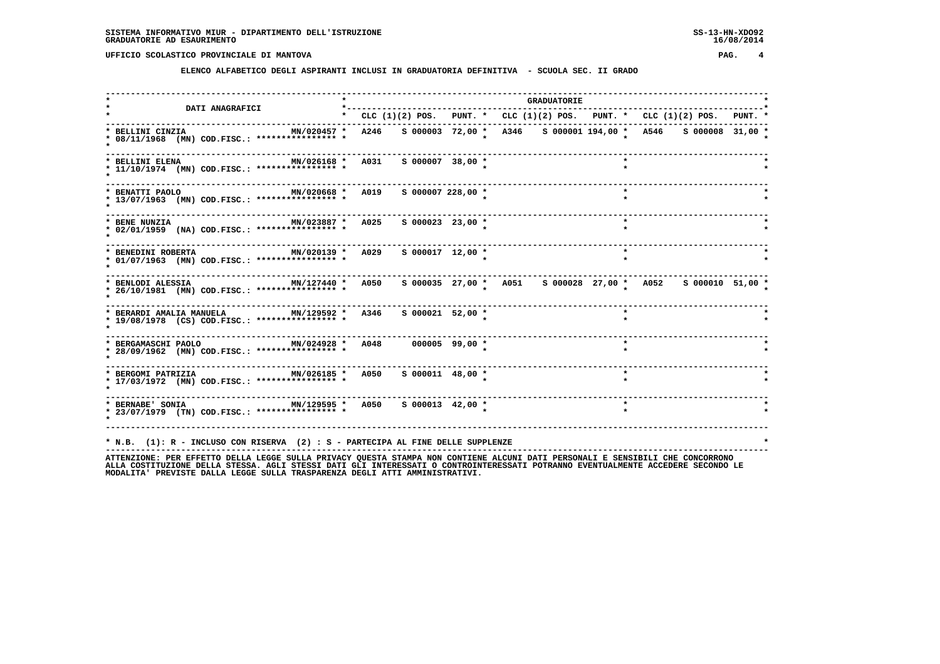**ELENCO ALFABETICO DEGLI ASPIRANTI INCLUSI IN GRADUATORIA DEFINITIVA - SCUOLA SEC. II GRADO**

|                                                                                                                                                          |  |                       |                                                                                 | <b>GRADUATORIE</b> |         |  |  |
|----------------------------------------------------------------------------------------------------------------------------------------------------------|--|-----------------------|---------------------------------------------------------------------------------|--------------------|---------|--|--|
| <b>DATI ANAGRAFICI</b>                                                                                                                                   |  |                       | * CLC $(1)(2)$ POS. PUNT. * CLC $(1)(2)$ POS. PUNT. * CLC $(1)(2)$ POS. PUNT. * |                    |         |  |  |
| MN/020457 *<br>* BELLINI CINZIA<br>* 08/11/1968 (MN) COD.FISC.: **************** *                                                                       |  |                       | A246 S 000003 72,00 * A346 S 000001 194,00 * A546 S 000008 31,00 *              |                    |         |  |  |
| MN/026168 * A031 S 000007 38,00 *<br>* BELLINI ELENA<br>* 11/10/1974 (MN) COD.FISC.: **************** *                                                  |  |                       |                                                                                 |                    | $\star$ |  |  |
| MN/020668 * A019<br>* BENATTI PAOLO<br>* 13/07/1963 (MN) COD.FISC.: **************** *                                                                   |  | $S$ 000007 228,00 $*$ |                                                                                 |                    | $\star$ |  |  |
| MN/023887 * A025<br>* BENE NUNZIA<br>* 02/01/1959 (NA) COD.FISC.: **************** *                                                                     |  | $S$ 000023 23,00 $*$  |                                                                                 |                    | $\star$ |  |  |
| MN/020139 * A029 S 000017 12,00 *<br>* BENEDINI ROBERTA<br>* 01/07/1963 (MN) COD.FISC.: **************** *                                               |  |                       |                                                                                 |                    | $\star$ |  |  |
| MN/127440 * A050 \$ 000035 27,00 * A051 \$ 000028 27,00 * A052 \$ 000010 51,00 *<br>* BENLODI ALESSIA<br>* 26/10/1981 (MN) COD.FISC.: **************** * |  |                       |                                                                                 |                    |         |  |  |
| MN/129592 * A346<br>* BERARDI AMALIA MANUELA<br>* 19/08/1978 (CS) COD.FISC.: **************** *                                                          |  | $S$ 000021 52,00 *    |                                                                                 |                    | $\star$ |  |  |
| MN/024928 * A048 000005 99,00 *<br>* BERGAMASCHI PAOLO<br>* 28/09/1962 (MN) COD.FISC.: **************** *                                                |  |                       | -----------------------                                                         |                    | $\star$ |  |  |
| * 17/03/1972 (MN) COD.FISC.: **************** *                                                                                                          |  | $S$ 000011 48,00 *    |                                                                                 |                    | $\star$ |  |  |
| * 23/07/1979 (TN) COD.FISC.: **************** *                                                                                                          |  | $S$ 000013 42,00 *    |                                                                                 |                    | $\star$ |  |  |
| * N.B. (1): R - INCLUSO CON RISERVA (2) : S - PARTECIPA AL FINE DELLE SUPPLENZE                                                                          |  |                       |                                                                                 |                    |         |  |  |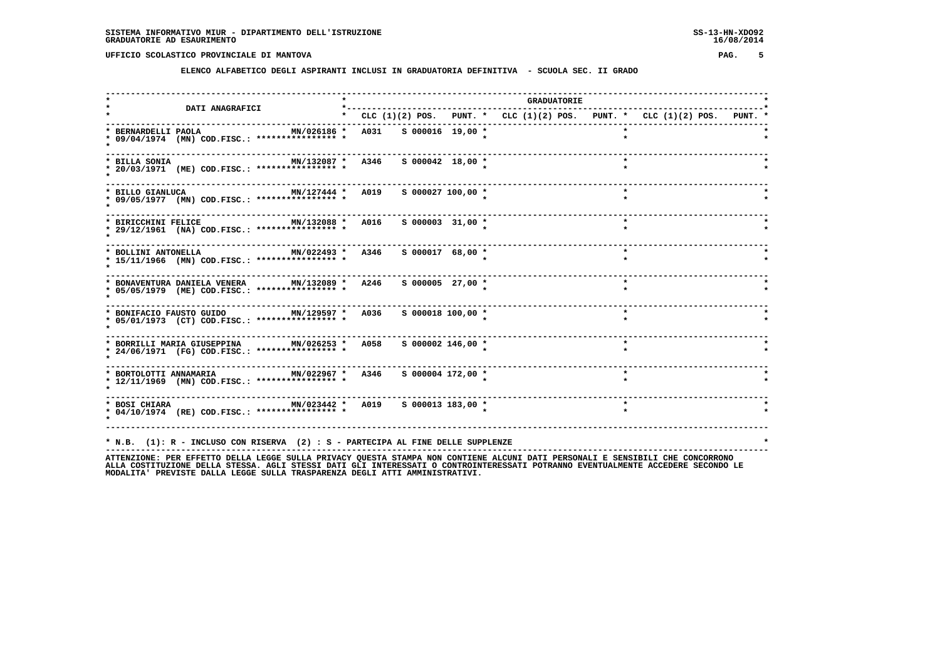**ELENCO ALFABETICO DEGLI ASPIRANTI INCLUSI IN GRADUATORIA DEFINITIVA - SCUOLA SEC. II GRADO**

| <b>DATI ANAGRAFICI</b>                                                                                                              |  |                      |                                                                           | <b>GRADUATORIE</b> |         |  |  |
|-------------------------------------------------------------------------------------------------------------------------------------|--|----------------------|---------------------------------------------------------------------------|--------------------|---------|--|--|
|                                                                                                                                     |  |                      | * CLC (1)(2) POS. PUNT. * CLC (1)(2) POS. PUNT. * CLC (1)(2) POS. PUNT. * |                    |         |  |  |
| MN/026186 * A031 S 000016 19,00 *<br>* BERNARDELLI PAOLA<br>* 09/04/1974 (MN) COD.FISC.: **************** *                         |  |                      |                                                                           |                    |         |  |  |
| MN/132087 * A346 S 000042 18,00 *<br>* BILLA SONIA<br>* 20/03/1971 (ME) COD.FISC.: **************** *                               |  |                      |                                                                           |                    |         |  |  |
| MN/127444 * A019 S 000027 100,00 *<br>* BILLO GIANLUCA<br>* 09/05/1977 (MN) COD.FISC.: **************** *                           |  |                      |                                                                           |                    | $\star$ |  |  |
| MN/132088 * A016 S 000003 31,00 *<br>* BIRICCHINI FELICE<br>* 29/12/1961 (NA) COD.FISC.: **************** *                         |  |                      |                                                                           |                    | $\star$ |  |  |
| MN/022493 * A346<br>* BOLLINI ANTONELLA<br>* 15/11/1966 (MN) COD.FISC.: **************** *                                          |  | $S$ 000017 68,00 $*$ |                                                                           |                    | $\star$ |  |  |
| * BONAVENTURA DANIELA VENERA MN/132089 * A246<br>* 05/05/1979 (ME) COD.FISC.: **************** *                                    |  | S 000005 27,00 *     |                                                                           |                    | $\star$ |  |  |
| * BONIFACIO FAUSTO GUIDO MN/129597 * A036 S 000018 100,00 *<br>* 05/01/1973 (CT) COD.FISC.: **************** *                      |  |                      |                                                                           |                    | $\star$ |  |  |
| * BORRILLI MARIA GIUSEPPINA MN/026253 * A058 S 000002 146,00 *<br>* 24/06/1971 (FG) COD.FISC.: **************** *                   |  |                      |                                                                           |                    | $\star$ |  |  |
| * 12/11/1969 (MN) COD.FISC.: **************** *                                                                                     |  |                      |                                                                           |                    | $\star$ |  |  |
| * BOSI CHIARA                           MN/023442 *   A019     S 000013 183,00 *<br>* 04/10/1974 (RE) COD.FISC.: **************** * |  |                      |                                                                           |                    | $\star$ |  |  |
|                                                                                                                                     |  |                      |                                                                           |                    |         |  |  |
| * N.B. (1): R - INCLUSO CON RISERVA (2) : S - PARTECIPA AL FINE DELLE SUPPLENZE                                                     |  |                      |                                                                           |                    |         |  |  |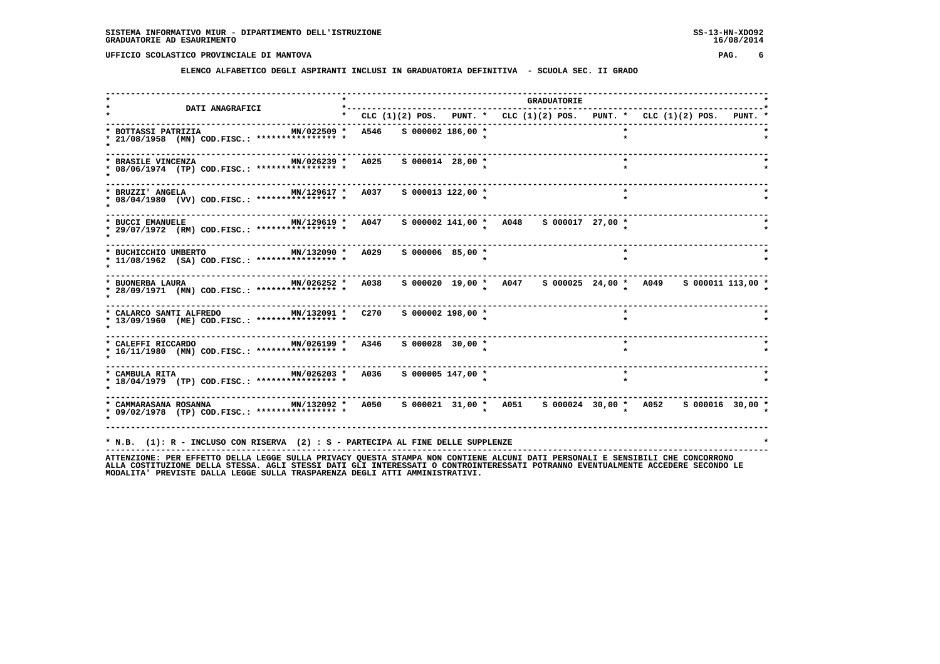**ELENCO ALFABETICO DEGLI ASPIRANTI INCLUSI IN GRADUATORIA DEFINITIVA - SCUOLA SEC. II GRADO**

|                                                                                                            | $\star$ $ -$ |                        |                       |                                                                               | <b>GRADUATORIE</b> |         |  |  |
|------------------------------------------------------------------------------------------------------------|--------------|------------------------|-----------------------|-------------------------------------------------------------------------------|--------------------|---------|--|--|
| <b>DATI ANAGRAFICI</b>                                                                                     |              |                        |                       | * CLC $(1)(2)$ POS. PUNT. * CLC $(1)(2)$ POS. PUNT. * CLC $(1)(2)$ POS. PUNT. |                    |         |  |  |
| * BOTTASSI PATRIZIA<br>MN/022509 *<br>* 21/08/1958 (MN) COD.FISC.: **************** *                      |              | A546 S 000002 186,00 * |                       |                                                                               |                    |         |  |  |
| MN/026239 * A025 S 000014 28,00 *<br>* BRASILE VINCENZA<br>* 08/06/1974 (TP) COD.FISC.: **************** * |              |                        |                       |                                                                               |                    | $\star$ |  |  |
| MN/129617 *<br>* BRUZZI' ANGELA<br>* 08/04/1980 (VV) COD.FISC.: **************** *                         |              | A037                   | s 000013 122,00 *     |                                                                               |                    | $\star$ |  |  |
| MN/129619 * A047<br>* BUCCI EMANUELE<br>* 29/07/1972 (RM) COD.FISC.: *************** *                     |              |                        |                       | S 000002 141,00 * A048 S 000017 27,00 *                                       |                    |         |  |  |
| * BUCHICCHIO UMBERTO<br>* 11/08/1962 (SA) COD.FISC.: **************** *                                    |              |                        | S 000006 85,00 *      |                                                                               |                    | $\star$ |  |  |
| MN/026252 * A038<br>* BUONERBA LAURA<br>* 28/09/1971 (MN) COD.FISC.: **************** *                    |              |                        |                       | s 000020 19,00 * A047 s 000025 24,00 * A049 s 000011 113,00 *                 |                    |         |  |  |
| * CALARCO SANTI ALFREDO MN/132091 * C270<br>* 13/09/1960 (ME) COD.FISC.: **************** *                |              |                        | S 000002 198,00 *     |                                                                               |                    | $\star$ |  |  |
| * CALEFFI RICCARDO 600 MN/026199 * A346<br>* 16/11/1980 (MN) COD.FISC.: **************** *                 |              |                        | S 000028 30,00 *      |                                                                               |                    | $\star$ |  |  |
| * CAMBULA RITA<br>MN/026203 *<br>* 18/04/1979 (TP) COD.FISC.: **************** *                           |              | A036                   | $S$ 000005 147,00 $*$ |                                                                               |                    | $\star$ |  |  |
| MN/132092 * A050<br>* CAMMARASANA ROSANNA<br>* 09/02/1978 (TP) COD.FISC.: **************** *               |              |                        |                       | s 000021 31,00 * A051 s 000024 30,00 * A052 s 000016 30,00 *                  |                    |         |  |  |
| * N.B. (1): R - INCLUSO CON RISERVA (2) : S - PARTECIPA AL FINE DELLE SUPPLENZE                            |              |                        |                       |                                                                               |                    |         |  |  |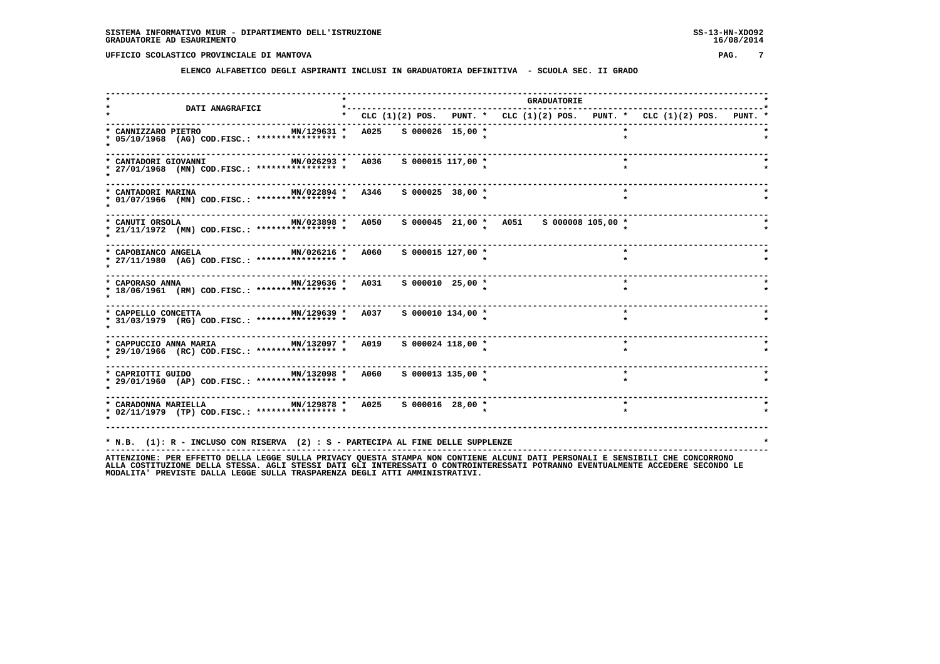**ELENCO ALFABETICO DEGLI ASPIRANTI INCLUSI IN GRADUATORIA DEFINITIVA - SCUOLA SEC. II GRADO**

|                                                                                                                 |                                                                               |  |                                         |  |  | <b>GRADUATORIE</b> |  |         |  |  |  |
|-----------------------------------------------------------------------------------------------------------------|-------------------------------------------------------------------------------|--|-----------------------------------------|--|--|--------------------|--|---------|--|--|--|
| <b>DATI ANAGRAFICI</b>                                                                                          | * CLC $(1)(2)$ POS. PUNT. * CLC $(1)(2)$ POS. PUNT. * CLC $(1)(2)$ POS. PUNT. |  |                                         |  |  |                    |  |         |  |  |  |
| MN/129631 *<br>* CANNIZZARO PIETRO<br>* 05/10/1968 (AG) COD.FISC.: **************** *                           | A025 S 000026 15,00 *                                                         |  |                                         |  |  |                    |  | $\star$ |  |  |  |
| MN/026293 * A036 S 000015 117,00 *<br>* CANTADORI GIOVANNI<br>* 27/01/1968 (MN) COD.FISC.: **************** *   |                                                                               |  |                                         |  |  |                    |  | $\star$ |  |  |  |
| MN/022894 * A346<br>* CANTADORI MARINA<br>* 01/07/1966 (MN) COD.FISC.: **************** *                       |                                                                               |  | S 000025 38,00 *                        |  |  |                    |  | $\star$ |  |  |  |
| MN/023898 * A050<br>* CANUTI ORSOLA<br>* 21/11/1972 (MN) COD.FISC.: **************** *                          |                                                                               |  | s 000045 21,00 * A051 s 000008 105,00 * |  |  |                    |  |         |  |  |  |
| MN/026216 * A060<br>* CAPOBIANCO ANGELA<br>* 27/11/1980 (AG) COD.FISC.: **************** *                      |                                                                               |  | S 000015 127,00 *                       |  |  |                    |  | $\star$ |  |  |  |
| MN/129636 * A031 S 000010 25,00 *<br>* CAPORASO ANNA<br>* 18/06/1961 (RM) COD.FISC.: **************** *         |                                                                               |  |                                         |  |  |                    |  | $\star$ |  |  |  |
| $MN/129639 * A037 S000010 134,00 *$<br>* CAPPELLO CONCETTA<br>* 31/03/1979 (RG) COD.FISC.: **************** *   |                                                                               |  |                                         |  |  |                    |  | $\star$ |  |  |  |
| MN/132097 * A019 S 000024 118,00 *<br>* CAPPUCCIO ANNA MARIA<br>* 29/10/1966 (RC) COD.FISC.: **************** * |                                                                               |  |                                         |  |  |                    |  | $\star$ |  |  |  |
| * 29/01/1960 (AP) COD.FISC.: **************** *                                                                 |                                                                               |  | S 000013 135,00 *                       |  |  |                    |  | $\star$ |  |  |  |
| MN/129878 * A025 S 000016 28,00 *<br>* CARADONNA MARIELLA<br>* 02/11/1979 (TP) COD.FISC.: **************** *    |                                                                               |  |                                         |  |  |                    |  | $\star$ |  |  |  |
| * N.B. (1): R - INCLUSO CON RISERVA (2) : S - PARTECIPA AL FINE DELLE SUPPLENZE                                 |                                                                               |  |                                         |  |  |                    |  |         |  |  |  |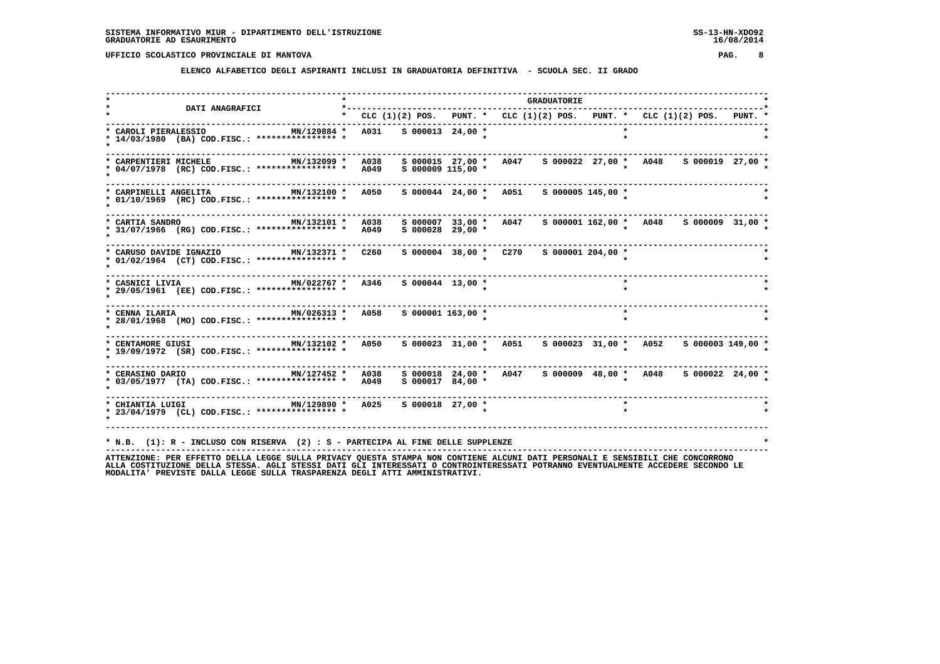**ELENCO ALFABETICO DEGLI ASPIRANTI INCLUSI IN GRADUATORIA DEFINITIVA - SCUOLA SEC. II GRADO**

 **------------------------------------------------------------------------------------------------------------------------------------ \* \* GRADUATORIE \* \* DATI ANAGRAFICI \*-----------------------------------------------------------------------------------\* \* \* CLC (1)(2) POS. PUNT. \* CLC (1)(2) POS. PUNT. \* CLC (1)(2) POS. PUNT. \* ------------------------------------------------------------------------------------------------------------------------------------ \* CAROLI PIERALESSIO MN/129884 \* A031 S 000013 24,00 \* \* \* \* 14/03/1980 (BA) COD.FISC.: \*\*\*\*\*\*\*\*\*\*\*\*\*\*\*\* \* \* \* \* \* ------------------------------------------------------------------------------------------------------------------------------------ \* CARPENTIERI MICHELE MN/132099 \* A038 S 000015 27,00 \* A047 S 000022 27,00 \* A048 S 000019 27,00 \* \* 04/07/1978 (RC) COD.FISC.: \*\*\*\*\*\*\*\*\*\*\*\*\*\*\*\* \* A049 S 000009 115,00 \* \* \* \* ------------------------------------------------------------------------------------------------------------------------------------ \* CARPINELLI ANGELITA MN/132100 \* A050 S 000044 24,00 \* A051 S 000005 145,00 \* \* \* 01/10/1969 (RC) COD.FISC.: \*\*\*\*\*\*\*\*\*\*\*\*\*\*\*\* \* \* \* \* \* ------------------------------------------------------------------------------------------------------------------------------------ \* CARTIA SANDRO MN/132101 \* A038 S 000007 33,00 \* A047 S 000001 162,00 \* A048 S 000009 31,00 \* \* 31/07/1966 (RG) COD.FISC.: \*\*\*\*\*\*\*\*\*\*\*\*\*\*\*\* \* A049 S 000028 29,00 \* \* \* \* ------------------------------------------------------------------------------------------------------------------------------------ \* CARUSO DAVIDE IGNAZIO MN/132371 \* C260 S 000004 38,00 \* C270 S 000001 204,00 \* \* \* 01/02/1964 (CT) COD.FISC.: \*\*\*\*\*\*\*\*\*\*\*\*\*\*\*\* \* \* \* \* \* ------------------------------------------------------------------------------------------------------------------------------------ \* CASNICI LIVIA MN/022767 \* A346 S 000044 13,00 \* \* \* \* 29/05/1961 (EE) COD.FISC.: \*\*\*\*\*\*\*\*\*\*\*\*\*\*\*\* \* \* \* \* \* ------------------------------------------------------------------------------------------------------------------------------------ \* CENNA ILARIA MN/026313 \* A058 S 000001 163,00 \* \* \* \* 28/01/1968 (MO) COD.FISC.: \*\*\*\*\*\*\*\*\*\*\*\*\*\*\*\* \* \* \* \* \* ------------------------------------------------------------------------------------------------------------------------------------ \* CENTAMORE GIUSI MN/132102 \* A050 S 000023 31,00 \* A051 S 000023 31,00 \* A052 S 000003 149,00 \* \* 19/09/1972 (SR) COD.FISC.: \*\*\*\*\*\*\*\*\*\*\*\*\*\*\*\* \* \* \* \* \* ------------------------------------------------------------------------------------------------------------------------------------ \* CERASINO DARIO MN/127452 \* A038 S 000018 24,00 \* A047 S 000009 48,00 \* A048 S 000022 24,00 \* \* 03/05/1977 (TA) COD.FISC.: \*\*\*\*\*\*\*\*\*\*\*\*\*\*\*\* \* A049 S 000017 84,00 \* \* \* \* ------------------------------------------------------------------------------------------------------------------------------------ \* CHIANTIA LUIGI MN/129890 \* A025 S 000018 27,00 \* \* \* \* 23/04/1979 (CL) COD.FISC.: \*\*\*\*\*\*\*\*\*\*\*\*\*\*\*\* \* \* \* \* \* ------------------------------------------------------------------------------------------------------------------------------------ \* N.B. (1): R - INCLUSO CON RISERVA (2) : S - PARTECIPA AL FINE DELLE SUPPLENZE \* ------------------------------------------------------------------------------------------------------------------------------------**

 **ATTENZIONE: PER EFFETTO DELLA LEGGE SULLA PRIVACY QUESTA STAMPA NON CONTIENE ALCUNI DATI PERSONALI E SENSIBILI CHE CONCORRONO ALLA COSTITUZIONE DELLA STESSA. AGLI STESSI DATI GLI INTERESSATI O CONTROINTERESSATI POTRANNO EVENTUALMENTE ACCEDERE SECONDO LE MODALITA' PREVISTE DALLA LEGGE SULLA TRASPARENZA DEGLI ATTI AMMINISTRATIVI.**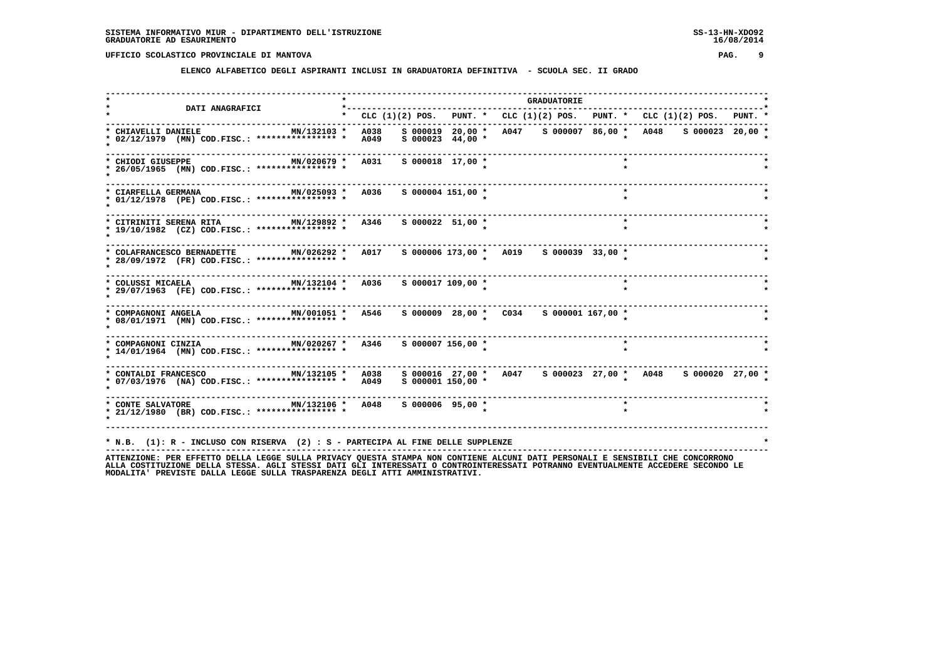**ELENCO ALFABETICO DEGLI ASPIRANTI INCLUSI IN GRADUATORIA DEFINITIVA - SCUOLA SEC. II GRADO**

|                                                                                                            | *--------                                                                 |  |                     |  | <b>GRADUATORIE</b> |                                         |         |                                                              |  |
|------------------------------------------------------------------------------------------------------------|---------------------------------------------------------------------------|--|---------------------|--|--------------------|-----------------------------------------|---------|--------------------------------------------------------------|--|
| <b>DATI ANAGRAFICI</b>                                                                                     | * CLC (1)(2) POS. PUNT. * CLC (1)(2) POS. PUNT. * CLC (1)(2) POS. PUNT. * |  |                     |  |                    |                                         |         |                                                              |  |
| MN/132103 *<br>* CHIAVELLI DANIELE<br>* 02/12/1979 (MN) COD.FISC.: **************** *                      | A038<br>A049                                                              |  | $S$ 000023 44,00 *  |  |                    |                                         |         | s 000019 20,00 * A047 s 000007 86,00 * A048 s 000023 20,00 * |  |
| MN/020679 * A031<br>* CHIODI GIUSEPPE<br>* 26/05/1965 (MN) COD.FISC.: **************** *                   |                                                                           |  | $S$ 000018 17,00 *  |  |                    |                                         | $\star$ |                                                              |  |
| MN/025093 * A036<br>* CIARFELLA GERMANA<br>* 01/12/1978 (PE) COD.FISC.: **************** *                 |                                                                           |  | S 000004 151,00 *   |  |                    |                                         | $\star$ |                                                              |  |
| MN/129892 * A346<br>* CITRINITI SERENA RITA<br>* 19/10/1982 (CZ) COD.FISC.: **************** *             |                                                                           |  | S 000022 51,00 *    |  |                    |                                         | $\star$ |                                                              |  |
| * COLAFRANCESCO BERNADETTE MN/026292 * A017<br>* 28/09/1972 (FR) COD.FISC.: **************** *             |                                                                           |  |                     |  |                    | s 000006 173,00 * A019 s 000039 33,00 * |         |                                                              |  |
| MN/132104 * A036 S 000017 109,00 *<br>* COLUSSI MICAELA<br>* 29/07/1963 (FE) COD.FISC.: **************** * |                                                                           |  |                     |  |                    |                                         | $\star$ |                                                              |  |
| MN/001051 * A546<br>* COMPAGNONI ANGELA<br>* 08/01/1971 (MN) COD.FISC.: **************** *                 |                                                                           |  |                     |  |                    | s 000009 28,00 * C034 s 000001 167,00 * |         |                                                              |  |
| MN/020267 * A346<br>* COMPAGNONI CINZIA<br>* 14/01/1964 (MN) COD.FISC.: **************** *                 |                                                                           |  | S 000007 156,00 *   |  |                    |                                         | $\star$ |                                                              |  |
| MN/132105 *<br>* CONTALDI FRANCESCO<br>* 07/03/1976 (NA) COD.FISC.: *************** * A049                 | <b>A038</b>                                                               |  | $S$ 000001 150,00 * |  |                    |                                         |         | s 000016 27,00 * A047 s 000023 27,00 * A048 s 000020 27,00 * |  |
| MN/132106 * A048<br>* CONTE SALVATORE<br>* 21/12/1980 (BR) COD.FISC.: **************** *                   |                                                                           |  | S 000006 95,00 *    |  |                    |                                         | $\star$ |                                                              |  |
| * N.B. (1): R - INCLUSO CON RISERVA (2) : S - PARTECIPA AL FINE DELLE SUPPLENZE                            |                                                                           |  |                     |  |                    |                                         |         |                                                              |  |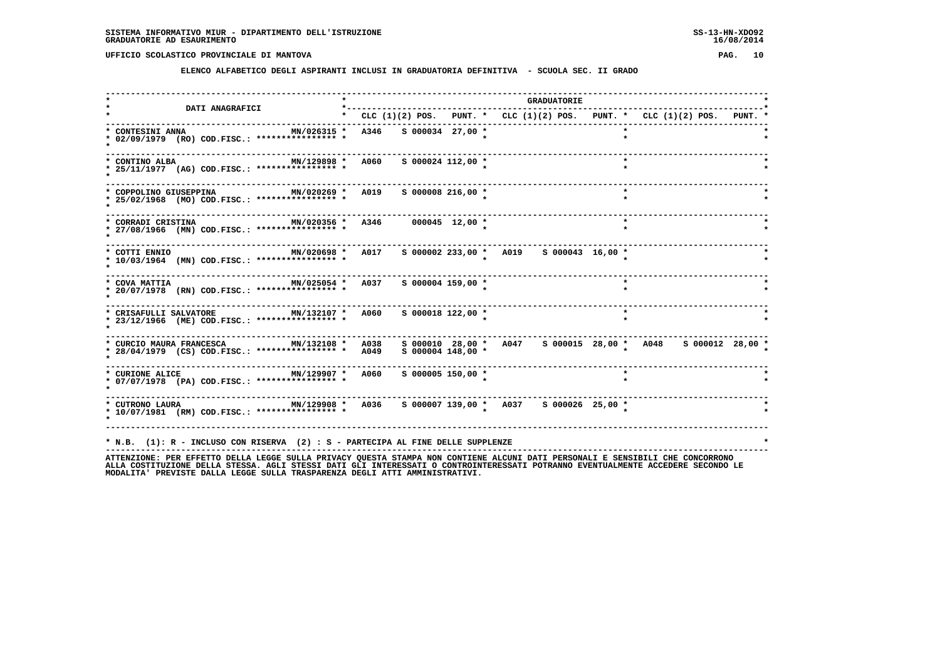**ELENCO ALFABETICO DEGLI ASPIRANTI INCLUSI IN GRADUATORIA DEFINITIVA - SCUOLA SEC. II GRADO**

| <b>DATI ANAGRAFICI</b>                                                                                 | *-- |                                 |                       |                                                                           | <b>GRADUATORIE</b> |         |  |  |
|--------------------------------------------------------------------------------------------------------|-----|---------------------------------|-----------------------|---------------------------------------------------------------------------|--------------------|---------|--|--|
|                                                                                                        |     |                                 |                       | * CLC (1)(2) POS. PUNT. * CLC (1)(2) POS. PUNT. * CLC (1)(2) POS. PUNT. * |                    |         |  |  |
| * CONTESINI ANNA<br>MN/026315 *<br>* 02/09/1979 (RO) COD.FISC.: **************** *                     |     | A346 S 000034 27,00 *           |                       |                                                                           |                    |         |  |  |
| MN/129898 * A060<br>* CONTINO ALBA<br>* 25/11/1977 (AG) COD.FISC.: **************** *                  |     |                                 | S 000024 112,00 *     |                                                                           |                    | $\star$ |  |  |
| MN/020269 * A019<br>* COPPOLINO GIUSEPPINA<br>* 25/02/1968 (MO) COD.FISC.: **************** *          |     |                                 | $S$ 000008 216,00 $*$ |                                                                           |                    | $\star$ |  |  |
| * CORRADI CRISTINA<br>* 27/08/1966 (MN) COD.FISC.: **************** *                                  |     | MN/020356 * A346 000045 12,00 * |                       |                                                                           |                    | $\star$ |  |  |
| * COTTI ENNIO<br>MN/020698 *<br>* 10/03/1964 (MN) COD.FISC.: **************** *                        |     | A017                            |                       | $S$ 000002 233,00 * A019 \$ 000043 16,00 *                                |                    |         |  |  |
| MN/025054 * A037 S 000004 159,00 *<br>* COVA MATTIA<br>* 20/07/1978 (RN) COD.FISC.: **************** * |     |                                 |                       |                                                                           |                    |         |  |  |
| MN/132107 * A060<br>* CRISAFULLI SALVATORE<br>* 23/12/1966 (ME) COD.FISC.: **************** *          |     |                                 | $S$ 000018 122,00 $*$ |                                                                           |                    | $\star$ |  |  |
| MN/132108 *<br>* CURCIO MAURA FRANCESCA<br>* 28/04/1979 (CS) COD.FISC.: **************** *             |     | A038<br>A049                    | $S$ 000004 148,00 $*$ | s 000010 28,00 * A047 s 000015 28,00 * A048 s 000012 28,00 *              |                    |         |  |  |
| MN/129907 *<br>* CURIONE ALICE<br>* 07/07/1978 (PA) COD.FISC.: **************** *                      |     | <b>A060</b>                     | $S$ 000005 150,00 *   |                                                                           |                    |         |  |  |
| MN/129908 * A036<br>* CUTRONO LAURA<br>* 10/07/1981 (RM) COD.FISC.: **************** *                 |     |                                 |                       | s 000007 139,00 * A037 s 000026 25,00 *                                   |                    |         |  |  |
| * N.B. (1): R - INCLUSO CON RISERVA (2) : S - PARTECIPA AL FINE DELLE SUPPLENZE                        |     |                                 |                       |                                                                           |                    |         |  |  |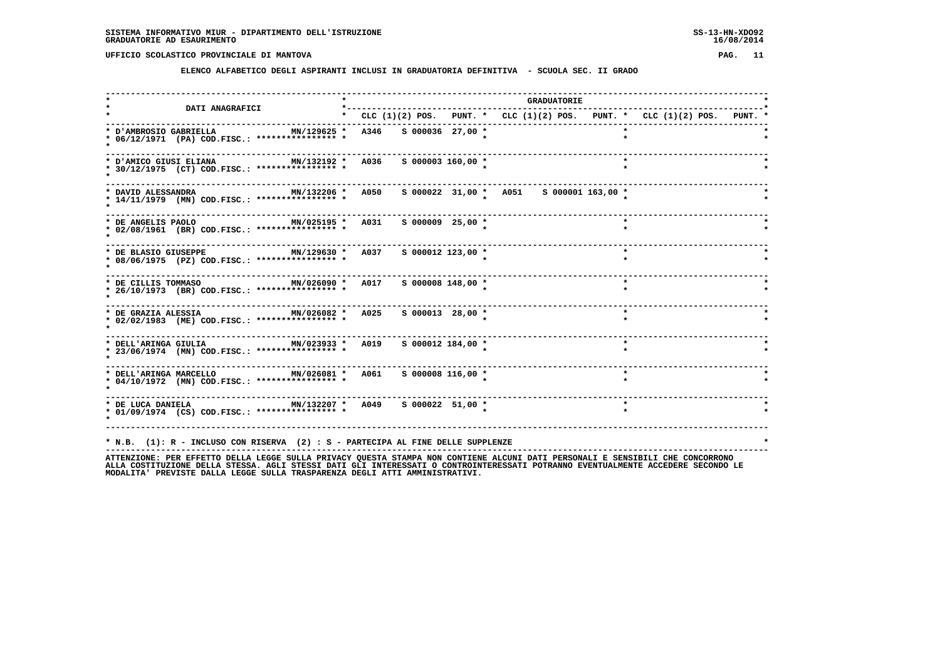**ELENCO ALFABETICO DEGLI ASPIRANTI INCLUSI IN GRADUATORIA DEFINITIVA - SCUOLA SEC. II GRADO**

| * CLC (1)(2) POS. PUNT. * CLC (1)(2) POS. PUNT. * CLC (1)(2) POS. PUNT. *<br>MN/129625 * A346 S 000036 27,00 *<br>S 000003 160,00 *<br>MN/025195 * A031 S 000009 25,00 *<br>s 000012 123,00 *<br>$\star$ |
|----------------------------------------------------------------------------------------------------------------------------------------------------------------------------------------------------------|
|                                                                                                                                                                                                          |
|                                                                                                                                                                                                          |
|                                                                                                                                                                                                          |
|                                                                                                                                                                                                          |
|                                                                                                                                                                                                          |
|                                                                                                                                                                                                          |
| S 000008 148,00 *<br>$\star$                                                                                                                                                                             |
| $\star$<br>$S$ 000013 28,00 *                                                                                                                                                                            |
| $\star$<br>S 000012 184,00 *                                                                                                                                                                             |
| * DELL'ARINGA MARCELLO MN/026081 * A061 S 000008 116,00 *<br>$\star$                                                                                                                                     |
| * DE LUCA DANIELA $MN/132207$ * A049 S 000022 51,00 *<br>$\star$                                                                                                                                         |
|                                                                                                                                                                                                          |

ATTENZIONE: PER EFFETTO DELLA LEGGE SULLA PRIVACY QUESTA STAMPA NON CONTIENE ALCUNI DATI PERSONALI E SENSIBILI CHE CONCORRONO<br>ALLA COSTITUZIONE DELLA STESSA, AGLI STESSI DATI GLI INTERESSATI O CONTROINTERESSATI POTRANNO EV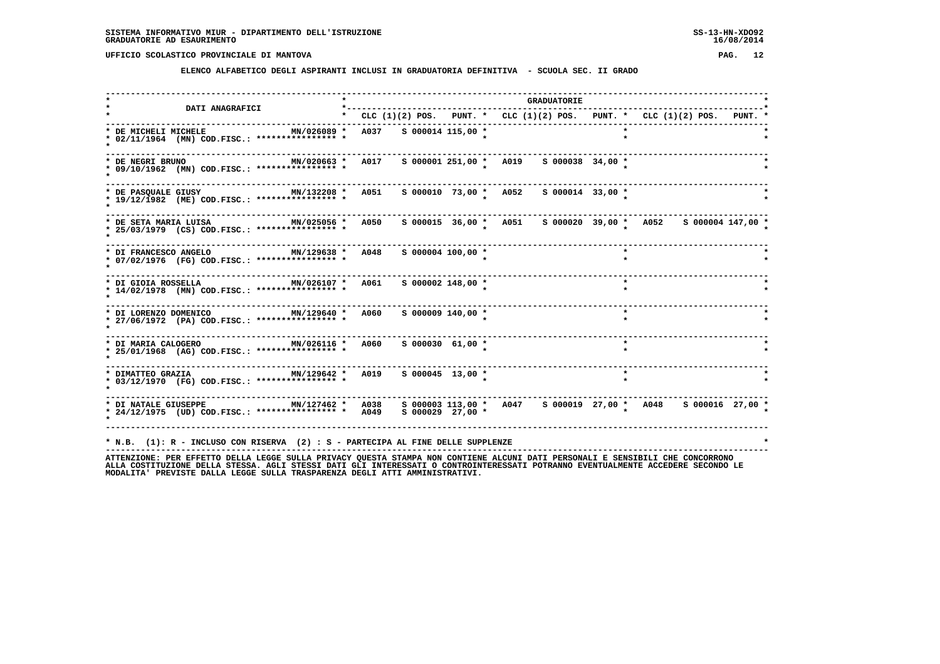**ELENCO ALFABETICO DEGLI ASPIRANTI INCLUSI IN GRADUATORIA DEFINITIVA - SCUOLA SEC. II GRADO**

| <b>DATI ANAGRAFICI</b>                                                                                        | *----------                                                             |  |                      |  | <b>GRADUATORIE</b>                     |         |  |                                                               |  |
|---------------------------------------------------------------------------------------------------------------|-------------------------------------------------------------------------|--|----------------------|--|----------------------------------------|---------|--|---------------------------------------------------------------|--|
|                                                                                                               | * CLC (1)(2) POS. PUNT. * CLC (1)(2) POS. PUNT. * CLC (1)(2) POS. PUNT. |  |                      |  |                                        |         |  |                                                               |  |
| MN/026089 * A037 S 000014 115,00 *<br>* DE MICHELI MICHELE<br>* 02/11/1964 (MN) COD.FISC.: **************** * |                                                                         |  |                      |  |                                        |         |  |                                                               |  |
| MN/020663 * A017<br>* DE NEGRI BRUNO<br>* 09/10/1962 (MN) COD.FISC.: **************** *                       |                                                                         |  |                      |  |                                        |         |  |                                                               |  |
| MN/132208 * A051<br>* DE PASOUALE GIUSY<br>* 19/12/1982 (ME) COD.FISC.: **************** *                    |                                                                         |  |                      |  | s 000010 73,00 * A052 s 000014 33,00 * |         |  |                                                               |  |
| MN/025056 * A050<br>* DE SETA MARIA LUISA<br>* 25/03/1979 (CS) COD.FISC.: **************** *                  |                                                                         |  |                      |  |                                        |         |  | s 000015 36,00 * A051 s 000020 39,00 * A052 s 000004 147,00 * |  |
| * DI FRANCESCO ANGELO<br>* 07/02/1976 (FG) COD.FISC.: **************** *                                      |                                                                         |  | s 000004 100,00 *    |  |                                        |         |  |                                                               |  |
| MN/026107 * A061<br>* DI GIOIA ROSSELLA<br>* 14/02/1978 (MN) COD.FISC.: **************** *                    |                                                                         |  | S 000002 148,00 *    |  |                                        | $\star$ |  |                                                               |  |
| * DI LORENZO DOMENICO                   MN/129640 *   A060<br>* 27/06/1972 (PA) COD.FISC.: **************** * |                                                                         |  | S 000009 140,00 *    |  |                                        | $\star$ |  |                                                               |  |
| MN/026116 *<br>* DI MARIA CALOGERO<br>* 25/01/1968 (AG) COD.FISC.: **************** *                         | A060                                                                    |  | $S$ 000030 61,00 *   |  |                                        | $\star$ |  |                                                               |  |
| MN/129642 * A019<br>* DIMATTEO GRAZIA<br>* 03/12/1970 (FG) COD.FISC.: **************** *                      |                                                                         |  | $S$ 000045 13,00 *   |  |                                        |         |  |                                                               |  |
| MN/127462 * A038<br>* DI NATALE GIUSEPPE<br>* 24/12/1975 (UD) COD.FISC.: *************** * 4049               |                                                                         |  | $S$ 000029 27,00 $*$ |  |                                        |         |  | s 000003 113,00 * A047 s 000019 27,00 * A048 s 000016 27,00 * |  |
| * N.B. (1): R - INCLUSO CON RISERVA (2) : S - PARTECIPA AL FINE DELLE SUPPLENZE                               |                                                                         |  |                      |  |                                        |         |  |                                                               |  |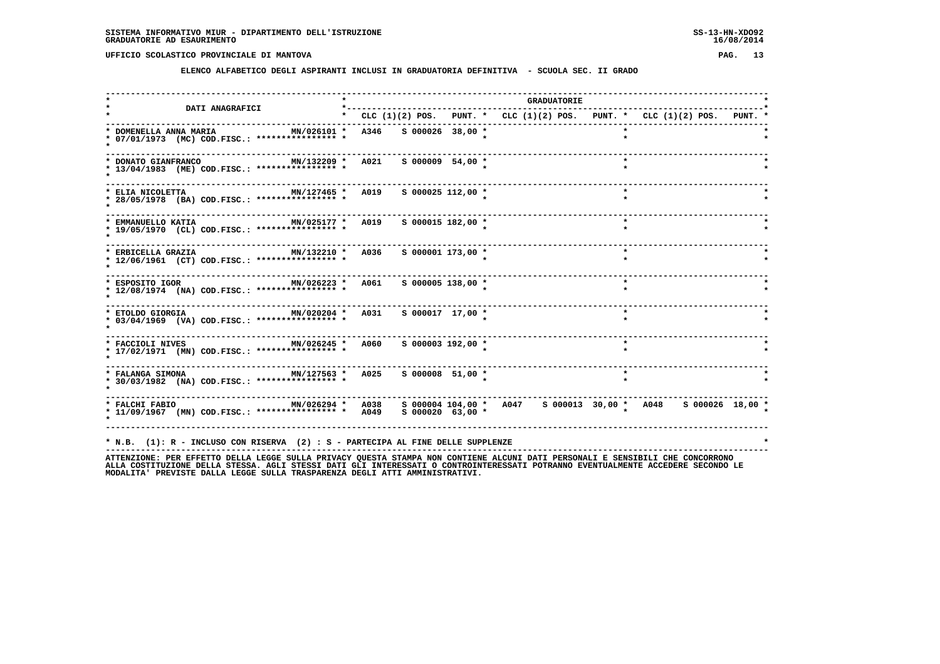**ELENCO ALFABETICO DEGLI ASPIRANTI INCLUSI IN GRADUATORIA DEFINITIVA - SCUOLA SEC. II GRADO**

|                                                                                                                                                                                     |                                                                                 |                       |  | <b>GRADUATORIE</b> |         |         |  |
|-------------------------------------------------------------------------------------------------------------------------------------------------------------------------------------|---------------------------------------------------------------------------------|-----------------------|--|--------------------|---------|---------|--|
| <b>DATI ANAGRAFICI</b>                                                                                                                                                              | * CLC $(1)(2)$ POS. PUNT. * CLC $(1)(2)$ POS. PUNT. * CLC $(1)(2)$ POS. PUNT. * |                       |  |                    |         |         |  |
| * DOMENELLA ANNA MARIA<br>* 07/01/1973 (MC) COD.FISC.: **************** *                                                                                                           | MN/026101 * A346 S 000026 38,00 *                                               |                       |  |                    | $\star$ |         |  |
| MN/132209 * A021 S 000009 54,00 *<br>* DONATO GIANFRANCO<br>* 13/04/1983 (ME) COD.FISC.: **************** *                                                                         |                                                                                 |                       |  |                    |         | $\star$ |  |
| MN/127465 * A019<br>* ELIA NICOLETTA<br>* 28/05/1978 (BA) COD.FISC.: **************** *                                                                                             |                                                                                 | $S$ 000025 112,00 $*$ |  |                    | $\star$ |         |  |
| MN/025177 * A019 S 000015 182,00 *<br>* EMMANUELLO KATIA<br>* 19/05/1970 (CL) COD.FISC.: **************** *                                                                         |                                                                                 |                       |  |                    | $\star$ |         |  |
| * ERBICELLA GRAZIA $MN/132210$ * A036 S 000001 173,00 *<br>* 12/06/1961 (CT) COD.FISC.: **************** *                                                                          |                                                                                 |                       |  |                    | $\star$ |         |  |
| * ESPOSITO IGOR MN/026223 *<br>* 12/08/1974 (NA) COD.FISC.: **************** *                                                                                                      | <b>A061</b>                                                                     | S 000005 138,00 *     |  |                    | $\star$ |         |  |
| $MN/020204$ *<br>* ETOLDO GIORGIA<br>* 03/04/1969 (VA) COD.FISC.: **************** *                                                                                                | A031                                                                            | S 000017 17,00 *      |  |                    | $\star$ |         |  |
| MN/026245 * A060<br>* FACCIOLI NIVES<br>* 17/02/1971 (MN) COD.FISC.: **************** *                                                                                             |                                                                                 | $S$ 000003 192,00 $*$ |  |                    |         |         |  |
| * FALANGA SIMONA<br>* 30/03/1982 (NA) COD.FISC.: **************** *                                                                                                                 | MN/127563 * A025 S 000008 51,00 *                                               |                       |  |                    | $\star$ |         |  |
| MN/026294 * A038   S 000004 104,00 *   A047   S 000013 30,00 *   A048   S 000026  18,00 *<br>* FALCHI FABIO<br>* 11/09/1967 (MN) COD.FISC.: *************** * A049 S 000020 63,00 * | . <b>.</b> .                                                                    |                       |  |                    |         |         |  |
| * N.B. (1): R - INCLUSO CON RISERVA (2) : S - PARTECIPA AL FINE DELLE SUPPLENZE                                                                                                     |                                                                                 |                       |  |                    |         |         |  |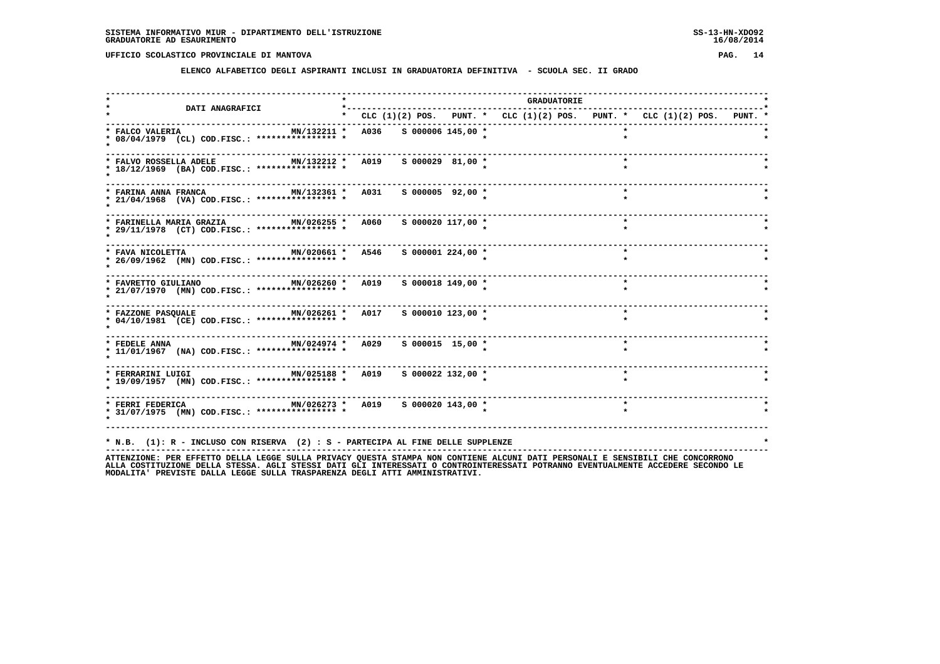**ELENCO ALFABETICO DEGLI ASPIRANTI INCLUSI IN GRADUATORIA DEFINITIVA - SCUOLA SEC. II GRADO**

| <b>DATI ANAGRAFICI</b>                                                                                                          | *----------            |                    |  | <b>GRADUATORIE</b> |                                                                           |  |
|---------------------------------------------------------------------------------------------------------------------------------|------------------------|--------------------|--|--------------------|---------------------------------------------------------------------------|--|
|                                                                                                                                 |                        |                    |  |                    | * CLC (1)(2) POS. PUNT. * CLC (1)(2) POS. PUNT. * CLC (1)(2) POS. PUNT. * |  |
| * FALCO VALERIA<br>MN/132211 *<br>* 08/04/1979 (CL) COD.FISC.: **************** *                                               | A036 S 000006 145,00 * |                    |  |                    |                                                                           |  |
| MN/132212 * A019 S 000029 81,00 *<br>* FALVO ROSSELLA ADELE<br>* 18/12/1969 (BA) COD.FISC.: **************** *                  |                        |                    |  |                    | $\star$                                                                   |  |
| MN/132361 * A031 S 000005 92,00 *<br>* FARINA ANNA FRANCA<br>* 21/04/1968 (VA) COD.FISC.: **************** *                    |                        |                    |  |                    | $\star$                                                                   |  |
| MN/026255 * A060<br>* FARINELLA MARIA GRAZIA<br>* 29/11/1978 (CT) COD.FISC.: **************** *                                 |                        | S 000020 117,00 *  |  |                    | $\star$                                                                   |  |
| MN/020661 * A546<br>* FAVA NICOLETTA<br>* 26/09/1962 (MN) COD.FISC.: **************** *                                         |                        | S 000001 224,00 *  |  |                    | $\star$                                                                   |  |
| MN/026260 * A019<br>* FAVRETTO GIULIANO<br>* 21/07/1970 (MN) COD.FISC.: **************** *                                      |                        | S 000018 149,00 *  |  |                    | $\star$                                                                   |  |
| * FAZZONE PASQUALE <b>MN/026261 * A017</b> S 000010 123,00 *<br>* 04/10/1981 (CE) COD.FISC.: **************** *                 |                        |                    |  |                    | $\star$                                                                   |  |
| * FEDELE ANNA $MN/024974$ * $A029$<br>* 11/01/1967 (NA) COD.FISC.: **************** *                                           |                        | $S$ 000015 15,00 * |  |                    |                                                                           |  |
| * FERRARINI LUIGI                   MN/025188 *   A019     5 000022 132,00 *<br>* 19/09/1957 (MN) COD.FISC.: **************** * |                        |                    |  |                    | $\star$                                                                   |  |
| * FERRI FEDERICA MN/026273 * A019 S 000020 143,00 *<br>* 31/07/1975 (MN) COD.FISC.: **************** *                          |                        |                    |  |                    | $\star$                                                                   |  |
| * N.B. (1): R - INCLUSO CON RISERVA (2) : S - PARTECIPA AL FINE DELLE SUPPLENZE                                                 |                        |                    |  |                    |                                                                           |  |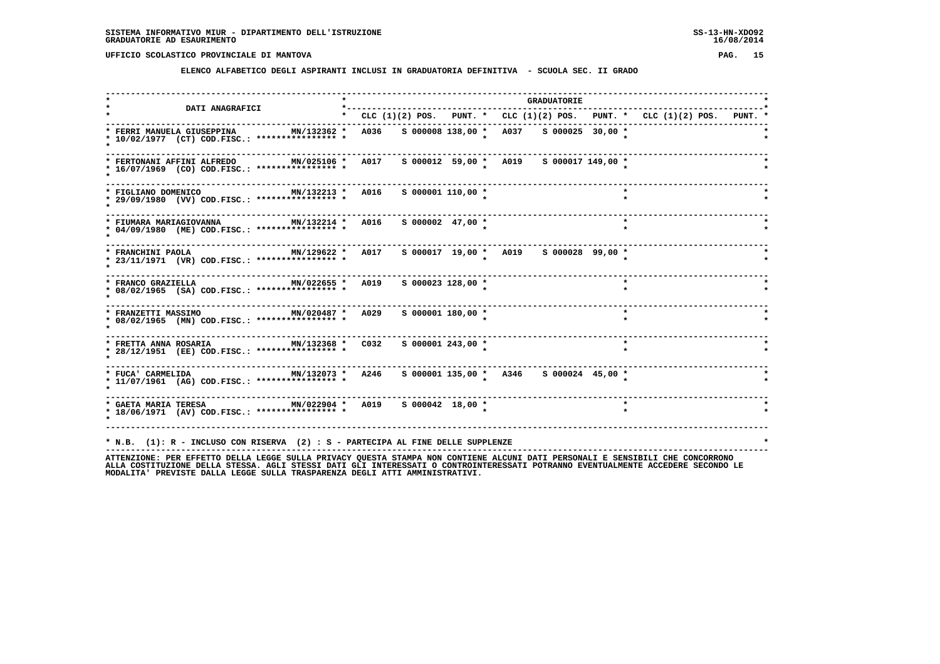**ELENCO ALFABETICO DEGLI ASPIRANTI INCLUSI IN GRADUATORIA DEFINITIVA - SCUOLA SEC. II GRADO**

|                                                                                                                                                                                                          | $\star$ $-$ |                                                                                 |                       |  |                                         | <b>GRADUATORIE</b> |  |         |  |  |  |
|----------------------------------------------------------------------------------------------------------------------------------------------------------------------------------------------------------|-------------|---------------------------------------------------------------------------------|-----------------------|--|-----------------------------------------|--------------------|--|---------|--|--|--|
| <b>DATI ANAGRAFICI</b>                                                                                                                                                                                   |             | * CLC $(1)(2)$ POS. PUNT. * CLC $(1)(2)$ POS. PUNT. * CLC $(1)(2)$ POS. PUNT. * |                       |  |                                         |                    |  |         |  |  |  |
| * FERRI MANUELA GIUSEPPINA<br>MN/132362 *<br>* 10/02/1977 (CT) COD.FISC.: **************** *                                                                                                             |             | A036                                                                            |                       |  | S 000008 138,00 * A037 S 000025 30,00 * |                    |  |         |  |  |  |
| MN/025106 *<br>* FERTONANI AFFINI ALFREDO<br>* 16/07/1969 (CO) COD.FISC.: **************** *                                                                                                             |             | A017                                                                            |                       |  | s 000012 59,00 * A019 s 000017 149,00 * |                    |  |         |  |  |  |
| MN/132213 * A016<br>* FIGLIANO DOMENICO<br>* 29/09/1980 (VV) COD.FISC.: **************** *                                                                                                               |             |                                                                                 | $S$ 000001 110,00 $*$ |  |                                         |                    |  | $\star$ |  |  |  |
| MN/132214 * A016 S 000002 47,00 *<br>* FIUMARA MARIAGIOVANNA<br>* 04/09/1980 (ME) COD.FISC.: **************** *                                                                                          |             |                                                                                 |                       |  |                                         |                    |  | $\star$ |  |  |  |
| MN/129622 *<br>* FRANCHINI PAOLA<br>* 23/11/1971 (VR) COD.FISC.: **************** *                                                                                                                      |             | A017                                                                            |                       |  | s 000017 19,00 * A019 s 000028 99,00 *  |                    |  |         |  |  |  |
| ----------------------<br>* FRANCO GRAZIELLA<br>$MN/022655$ *<br>* 08/02/1965 (SA) COD.FISC.: **************** *                                                                                         |             | A019                                                                            | S 000023 128,00 *     |  |                                         |                    |  | $\star$ |  |  |  |
| MN/020487 * A029<br>* FRANZETTI MASSIMO<br>* 08/02/1965 (MN) COD.FISC.: **************** *                                                                                                               |             |                                                                                 | s 000001 180,00 *     |  |                                         |                    |  | $\star$ |  |  |  |
| MN/132368 * C032<br>* FRETTA ANNA ROSARIA<br>* 28/12/1951 (EE) COD.FISC.: **************** *                                                                                                             |             |                                                                                 | S 000001 243,00 *     |  |                                         |                    |  | $\star$ |  |  |  |
| MN/132073 * A246<br>* FUCA' CARMELIDA<br>* 11/07/1961 (AG) COD.FISC.: **************** *                                                                                                                 |             |                                                                                 |                       |  | S 000001 135,00 * A346 S 000024 45,00 * |                    |  |         |  |  |  |
| MN/022904 * A019 S 000042 18,00 *<br>* GAETA MARIA TERESA<br>* 18/06/1971 (AV) COD.FISC.: **************** *                                                                                             |             |                                                                                 |                       |  |                                         |                    |  | $\star$ |  |  |  |
| * N.B. (1): R - INCLUSO CON RISERVA (2) : S - PARTECIPA AL FINE DELLE SUPPLENZE<br>ATTENTIONE. DER TETTA IECCE CULLA DEIVACY OUESTA STAMBA NON CONTIENE ALCUNI DATI DEDSONALI E SENSIBILI CUE CONCORDONO |             |                                                                                 |                       |  |                                         |                    |  |         |  |  |  |

ATTENZIONE: PER EFFETTO DELLA LEGGE SULLA PRIVACY QUESTA STAMPA NON CONTIENE ALCUNI DATI PERSONALI E SENSIBILI CHE CONCORRONO<br>ALLA COSTITUZIONE DELLA STESSA, AGLI STESSI DATI GLI INTERESSATI O CONTROINTERESSATI POTRANNO EV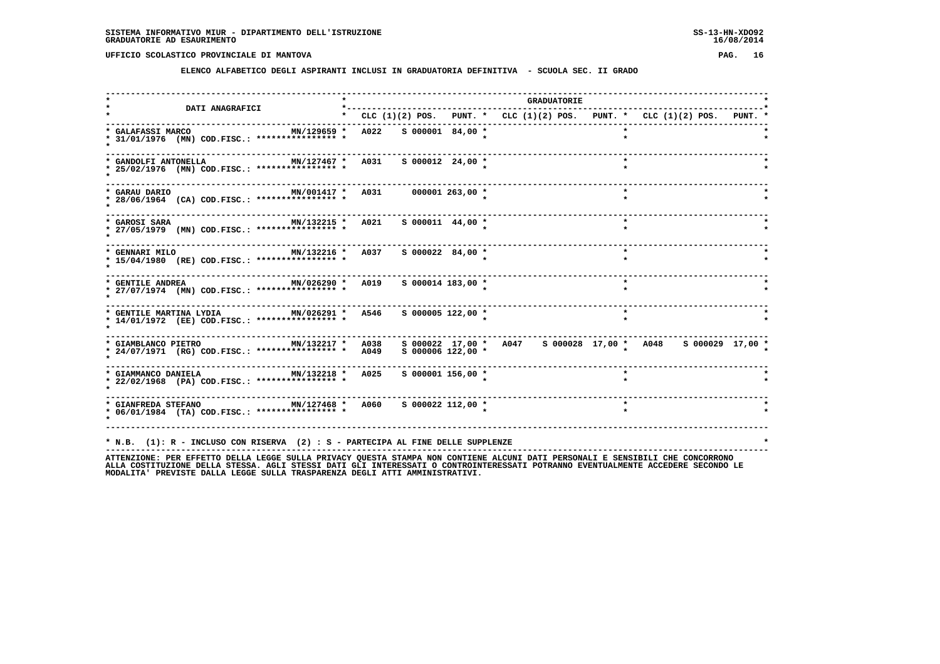**ELENCO ALFABETICO DEGLI ASPIRANTI INCLUSI IN GRADUATORIA DEFINITIVA - SCUOLA SEC. II GRADO**

| <b>DATI ANAGRAFICI</b>                                                                                       | *--------                                                               |  |                       |  | <b>GRADUATORIE</b>                                           |         |  |  |
|--------------------------------------------------------------------------------------------------------------|-------------------------------------------------------------------------|--|-----------------------|--|--------------------------------------------------------------|---------|--|--|
|                                                                                                              | * CLC (1)(2) POS. PUNT. * CLC (1)(2) POS. PUNT. * CLC (1)(2) POS. PUNT. |  |                       |  |                                                              |         |  |  |
| MN/129659 *<br>* GALAFASSI MARCO<br>* 31/01/1976 (MN) COD.FISC.: **************** *                          | A022 S 000001 84,00 *                                                   |  |                       |  |                                                              |         |  |  |
| MN/127467 * A031 S 000012 24,00 *<br>* GANDOLFI ANTONELLA<br>* 25/02/1976 (MN) COD.FISC.: **************** * |                                                                         |  |                       |  |                                                              |         |  |  |
| MN/001417 * A031 000001 263,00 *<br>* GARAU DARIO<br>* 28/06/1964 (CA) COD.FISC.: **************** *         |                                                                         |  |                       |  |                                                              | $\star$ |  |  |
| MN/132215 * A021<br>* GAROSI SARA<br>* 27/05/1979 (MN) COD.FISC.: *************** *                          |                                                                         |  | $S$ 000011 44,00 *    |  |                                                              | $\star$ |  |  |
| MN/132216 * A037<br>* GENNARI MILO<br>* 15/04/1980 (RE) COD.FISC.: **************** *                        |                                                                         |  | S 000022 84,00 *      |  |                                                              | $\star$ |  |  |
| MN/026290 * A019<br>* GENTILE ANDREA<br>* 27/07/1974 (MN) COD.FISC.: **************** *                      |                                                                         |  | $S$ 000014 183,00 *   |  |                                                              | $\star$ |  |  |
| MN/026291 * A546<br>* GENTILE MARTINA LYDIA<br>* 14/01/1972 (EE) COD.FISC.: **************** *               |                                                                         |  | s 000005 122,00 *     |  |                                                              |         |  |  |
| * GIAMBLANCO PIETRO MN/132217 * A038<br>* 24/07/1971 (RG) COD.FISC.: **************** *                      | A049                                                                    |  | $S$ 000006 122,00 $*$ |  | s 000022 17,00 * A047 s 000028 17,00 * A048 s 000029 17,00 * |         |  |  |
| MN/132218 * A025<br>* GIAMMANCO DANIELA<br>* 22/02/1968 (PA) COD.FISC.: **************** *                   |                                                                         |  | $S$ 000001 156,00 $*$ |  |                                                              | $\star$ |  |  |
| MN/127468 * A060<br>* GIANFREDA STEFANO<br>* 06/01/1984 (TA) COD.FISC.: **************** *                   |                                                                         |  | s 000022 112,00 *     |  |                                                              | $\star$ |  |  |
| * N.B. (1): R - INCLUSO CON RISERVA (2) : S - PARTECIPA AL FINE DELLE SUPPLENZE                              |                                                                         |  |                       |  |                                                              |         |  |  |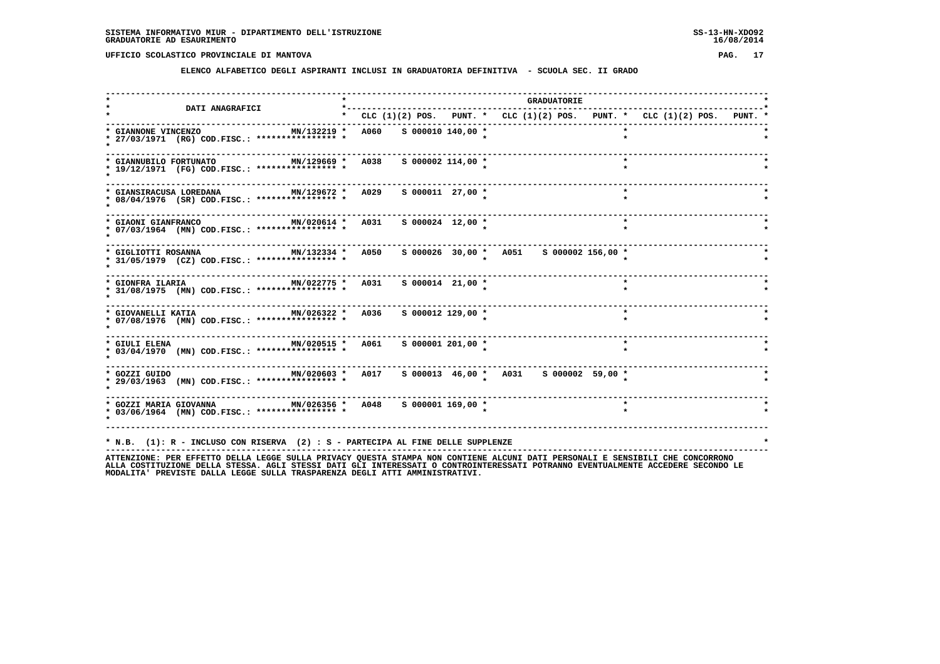**ELENCO ALFABETICO DEGLI ASPIRANTI INCLUSI IN GRADUATORIA DEFINITIVA - SCUOLA SEC. II GRADO**

| <b>DATI ANAGRAFICI</b>                                                                                                                                                                                           |                        |                       | <b>GRADUATORIE</b>                                                              |  |         |  |  |
|------------------------------------------------------------------------------------------------------------------------------------------------------------------------------------------------------------------|------------------------|-----------------------|---------------------------------------------------------------------------------|--|---------|--|--|
|                                                                                                                                                                                                                  |                        |                       | * CLC $(1)(2)$ POS. PUNT. * CLC $(1)(2)$ POS. PUNT. * CLC $(1)(2)$ POS. PUNT. * |  |         |  |  |
| * GIANNONE VINCENZO<br>MN/132219 *<br>* 27/03/1971 (RG) COD.FISC.: **************** *                                                                                                                            | A060 S 000010 140,00 * |                       |                                                                                 |  |         |  |  |
| MN/129669 * A038<br>* GIANNUBILO FORTUNATO<br>* 19/12/1971 (FG) COD.FISC.: **************** *                                                                                                                    |                        | $S$ 000002 114,00 $*$ |                                                                                 |  |         |  |  |
| MN/129672 * A029<br>* GIANSIRACUSA LOREDANA<br>* 08/04/1976 (SR) COD.FISC.: **************** *                                                                                                                   |                        | $S$ 000011 27,00 $*$  |                                                                                 |  | $\star$ |  |  |
| MN/020614 * A031 S 000024 12,00 *<br>* GIAONI GIANFRANCO<br>* 07/03/1964 (MN) COD.FISC.: **************** *                                                                                                      |                        |                       |                                                                                 |  | $\star$ |  |  |
| MN/132334 * A050<br>* GIGLIOTTI ROSANNA<br>* 31/05/1979 (CZ) COD.FISC.: *************** *                                                                                                                        |                        |                       | s 000026 30,00 * A051 s 000002 156,00 *                                         |  |         |  |  |
| MN/022775 * A031<br>* GIONFRA ILARIA<br>* 31/08/1975 (MN) COD.FISC.: **************** *                                                                                                                          |                        | $S$ 000014 21,00 *    |                                                                                 |  |         |  |  |
| MN/026322 * A036<br>* GIOVANELLI KATIA<br>* 07/08/1976 (MN) COD.FISC.: **************** *                                                                                                                        |                        | $S$ 000012 129,00 $*$ |                                                                                 |  | $\star$ |  |  |
| MN/020515 * A061 S 000001 201,00 *<br>* GIULI ELENA<br>* 03/04/1970 (MN) COD.FISC.: **************** *                                                                                                           |                        |                       |                                                                                 |  | $\star$ |  |  |
| MN/020603 * A017 S 000013 46,00 * A031 S 000002 59,00 *<br>* GOZZI GUIDO<br>* 29/03/1963 (MN) COD.FISC.: **************** *                                                                                      |                        |                       |                                                                                 |  |         |  |  |
| * 03/06/1964 (MN) COD.FISC.: **************** *                                                                                                                                                                  |                        |                       |                                                                                 |  |         |  |  |
| * N.B. (1): R - INCLUSO CON RISERVA (2) : S - PARTECIPA AL FINE DELLE SUPPLENZE<br>ATTENZIONE: PER EFFETTO DELLA LEGGE SULLA PRIVACY OUESTA STAMPA NON CONTIENE ALCUNI DATI PERSONALI E SENSIBILI CHE CONCORRONO |                        |                       |                                                                                 |  |         |  |  |

ATTENZIONE: PER EFFETTO DELLA LEGGE SULLA PRIVACY QUESTA STAMPA NON CONTIENE ALCUNI DATI PERSONALI E SENSIBILI CHE CONCORRONO<br>ALLA COSTITUZIONE DELLA STESSA, AGLI STESSI DATI GLI INTERESSATI O CONTROINTERESSATI POTRANNO EV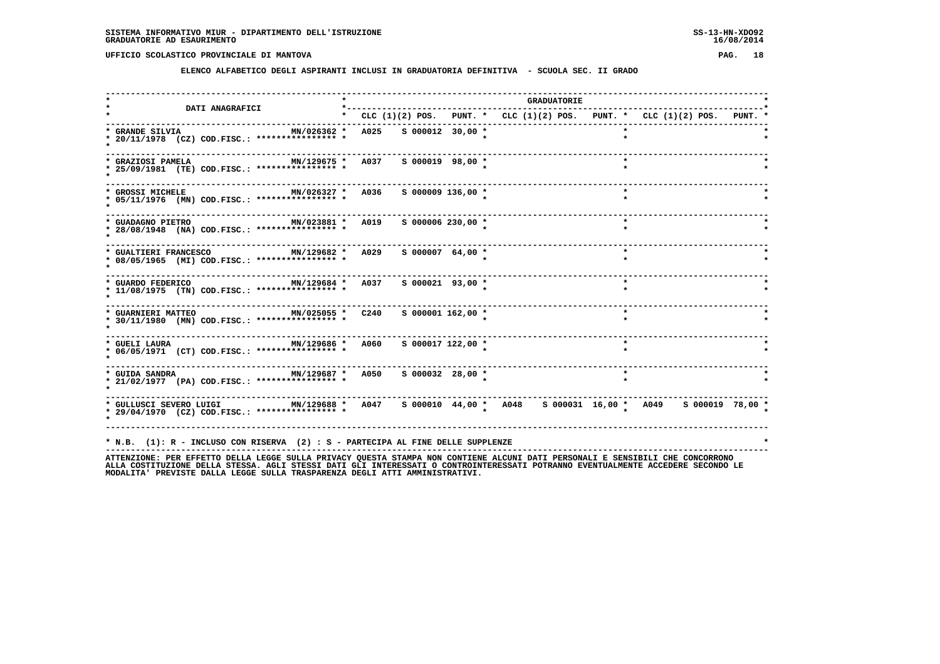**ELENCO ALFABETICO DEGLI ASPIRANTI INCLUSI IN GRADUATORIA DEFINITIVA - SCUOLA SEC. II GRADO**

| <b>DATI ANAGRAFICI</b>                                                                                        |      |  |                       |                                                                                 | <b>GRADUATORIE</b> |         |  |  |
|---------------------------------------------------------------------------------------------------------------|------|--|-----------------------|---------------------------------------------------------------------------------|--------------------|---------|--|--|
|                                                                                                               |      |  |                       | * CLC $(1)(2)$ POS. PUNT. * CLC $(1)(2)$ POS. PUNT. * CLC $(1)(2)$ POS. PUNT. * |                    |         |  |  |
| * GRANDE SILVIA<br>MN/026362 *<br>* 20/11/1978 (CZ) COD.FISC.: **************** *                             | A025 |  | $S$ 000012 30,00 *    |                                                                                 |                    |         |  |  |
| MN/129675 * A037<br>* GRAZIOSI PAMELA<br>* 25/09/1981 (TE) COD.FISC.: **************** *                      |      |  | S 000019 98,00 *      |                                                                                 |                    | $\star$ |  |  |
| MN/026327 * A036<br>* GROSSI MICHELE<br>* 05/11/1976 (MN) COD.FISC.: **************** *                       |      |  | $S$ 000009 136,00 $*$ |                                                                                 |                    | $\star$ |  |  |
| MN/023881 * A019<br>* GUADAGNO PIETRO<br>* 28/08/1948 (NA) COD.FISC.: **************** *                      |      |  | S 000006 230,00 *     |                                                                                 |                    | $\star$ |  |  |
| * GUALTIERI FRANCESCO<br>MN/129682 *<br>* 08/05/1965 (MI) COD.FISC.: **************** *                       | A029 |  | $S$ 000007 64,00 *    |                                                                                 |                    | $\star$ |  |  |
| MN/129684 * A037 S 000021 93,00 *<br>* GUARDO FEDERICO<br>* 11/08/1975 (TN) COD.FISC.: **************** *     |      |  |                       |                                                                                 |                    | $\star$ |  |  |
| * GUARNIERI MATTEO MN/025055 * C240<br>* 30/11/1980 (MN) COD.FISC.: **************** *                        |      |  | $S$ 000001 162,00 $*$ |                                                                                 |                    | $\star$ |  |  |
| * GUELI LAURA                           MN/129686 *   A060<br>* 06/05/1971 (CT) COD.FISC.: **************** * |      |  | S 000017 122,00 *     |                                                                                 |                    |         |  |  |
| * 21/02/1977 (PA) COD.FISC.: **************** *                                                               |      |  | $S$ 000032 28,00 $*$  |                                                                                 |                    | $\star$ |  |  |
| MN/129688 * A047<br>* GULLUSCI SEVERO LUIGI<br>* 29/04/1970 (CZ) COD.FISC.: **************** *                |      |  |                       | s 000010 44,00 * A048 s 000031 16,00 * A049 s 000019 78,00 *                    |                    |         |  |  |
| * N.B. (1): R - INCLUSO CON RISERVA (2) : S - PARTECIPA AL FINE DELLE SUPPLENZE                               |      |  |                       |                                                                                 |                    |         |  |  |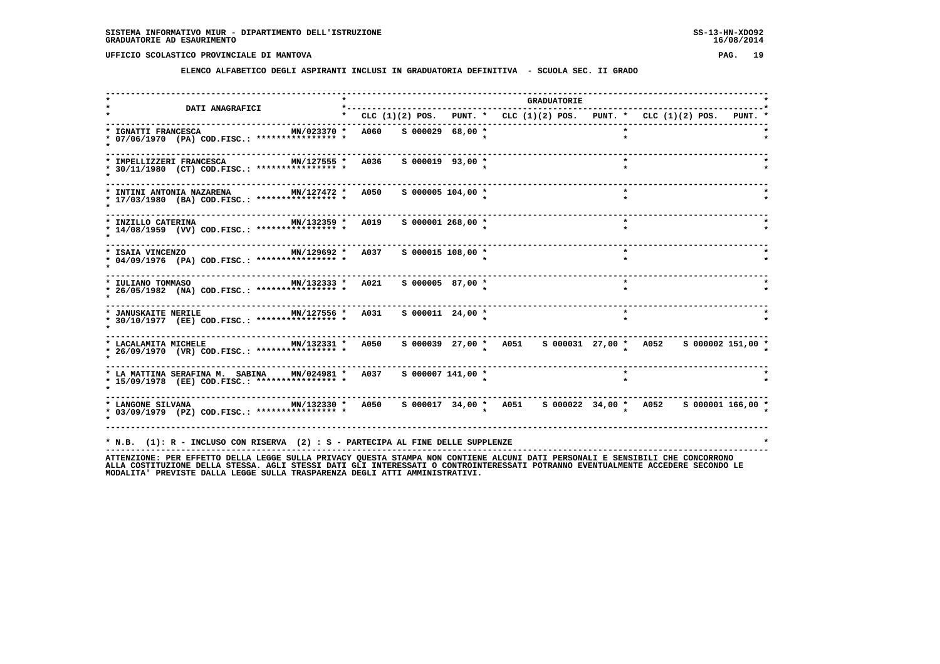**ELENCO ALFABETICO DEGLI ASPIRANTI INCLUSI IN GRADUATORIA DEFINITIVA - SCUOLA SEC. II GRADO**

|                                                                                                |             |  |                       |                                                                               | <b>GRADUATORIE</b> |         |  |  |  |
|------------------------------------------------------------------------------------------------|-------------|--|-----------------------|-------------------------------------------------------------------------------|--------------------|---------|--|--|--|
| <b>DATI ANAGRAFICI</b>                                                                         |             |  |                       | * CLC $(1)(2)$ POS. PUNT. * CLC $(1)(2)$ POS. PUNT. * CLC $(1)(2)$ POS. PUNT. |                    |         |  |  |  |
| * IGNATTI FRANCESCA<br>MN/023370 *<br>* 07/06/1970 (PA) COD.FISC.: **************** *          | A060        |  | S 000029 68,00 *      |                                                                               |                    |         |  |  |  |
| * IMPELLIZZERI FRANCESCA<br>MN/127555 *<br>* 30/11/1980 (CT) COD.FISC.: **************** *     | <b>A036</b> |  | $S$ 000019 93,00 *    |                                                                               |                    | $\star$ |  |  |  |
| MN/127472 *<br>INTINI ANTONIA NAZARENA<br>* 17/03/1980 (BA) COD.FISC.: **************** *      | A050        |  | $S$ 000005 104,00 *   |                                                                               |                    |         |  |  |  |
| MN/132359 * A019<br>* INZILLO CATERINA<br>* 14/08/1959 (VV) COD.FISC.: **************** *      |             |  | $S$ 000001 268,00 $*$ |                                                                               |                    | $\star$ |  |  |  |
| MN/129692 * A037<br>* ISAIA VINCENZO<br>* 04/09/1976 (PA) COD.FISC.: **************** *        |             |  | S 000015 108,00 *     |                                                                               |                    | $\star$ |  |  |  |
| MN/132333 * A021<br>* IULIANO TOMMASO<br>* 26/05/1982 (NA) COD.FISC.: **************** *       |             |  | S 000005 87,00 *      |                                                                               |                    |         |  |  |  |
| * JANUSKAITE NERILE MIN/127556 * A031<br>* 30/10/1977 (EE) COD.FISC.: **************** *       |             |  | $S$ 000011 24,00 *    |                                                                               |                    |         |  |  |  |
| * LACALAMITA MICHELE MN/132331 *<br>* 26/09/1970 (VR) COD.FISC.: *************** *             | A050        |  |                       | s 000039 27,00 * A051 s 000031 27,00 * A052 s 000002 151,00 *                 |                    |         |  |  |  |
| * LA MATTINA SERAFINA M. SABINA MN/024981 *<br>* 15/09/1978 (EE) COD.FISC.: **************** * | A037        |  | $S$ 000007 141,00 *   |                                                                               |                    |         |  |  |  |
| MN/132330 * A050<br>* LANGONE SILVANA<br>* 03/09/1979 (PZ) COD.FISC.: **************** *       |             |  |                       | s 000017 34,00 * A051 s 000022 34,00 * A052 s 000001 166,00 *                 |                    |         |  |  |  |
| * N.B. (1): R - INCLUSO CON RISERVA (2) : S - PARTECIPA AL FINE DELLE SUPPLENZE                |             |  |                       |                                                                               |                    |         |  |  |  |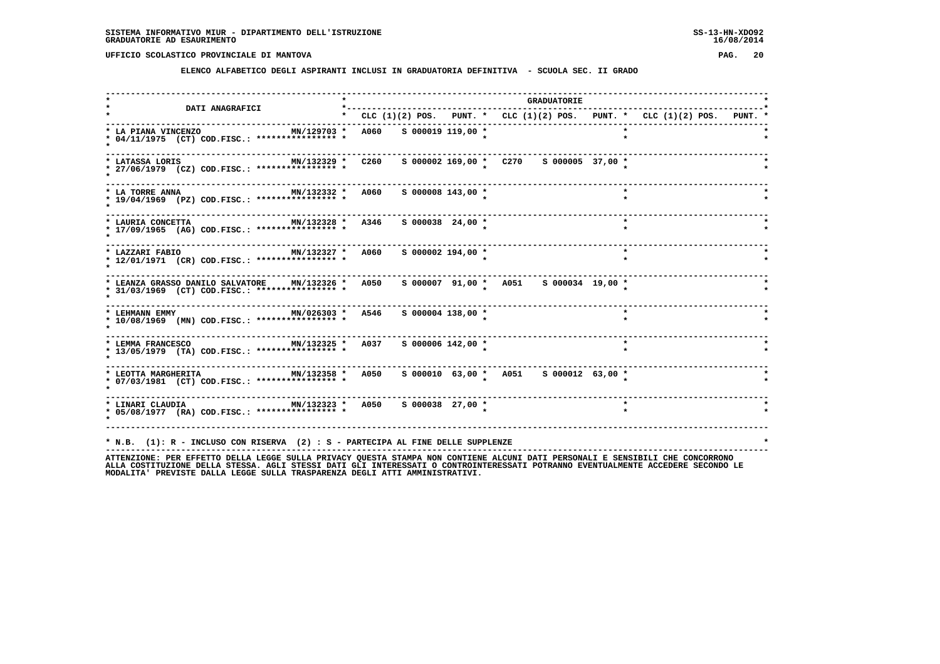**ELENCO ALFABETICO DEGLI ASPIRANTI INCLUSI IN GRADUATORIA DEFINITIVA - SCUOLA SEC. II GRADO**

| MN/129703 *<br>* 04/11/1975 (CT) COD.FISC.: **************** * | * CLC $(1)(2)$ POS. PUNT. * CLC $(1)(2)$ POS. PUNT. * CLC $(1)(2)$ POS. PUNT.<br>A060 S 000019 119,00 * |                                                                                                                                      |  |                                                                                                                                                                                                                     |  |  |                                                                                                                                                            |  |  |
|----------------------------------------------------------------|---------------------------------------------------------------------------------------------------------|--------------------------------------------------------------------------------------------------------------------------------------|--|---------------------------------------------------------------------------------------------------------------------------------------------------------------------------------------------------------------------|--|--|------------------------------------------------------------------------------------------------------------------------------------------------------------|--|--|
|                                                                |                                                                                                         |                                                                                                                                      |  |                                                                                                                                                                                                                     |  |  |                                                                                                                                                            |  |  |
|                                                                |                                                                                                         |                                                                                                                                      |  |                                                                                                                                                                                                                     |  |  |                                                                                                                                                            |  |  |
| * 27/06/1979 (CZ) COD.FISC.: **************** *                |                                                                                                         |                                                                                                                                      |  |                                                                                                                                                                                                                     |  |  |                                                                                                                                                            |  |  |
| MN/132332 *<br>* 19/04/1969 (PZ) COD.FISC.: **************** * |                                                                                                         |                                                                                                                                      |  |                                                                                                                                                                                                                     |  |  |                                                                                                                                                            |  |  |
| * 17/09/1965 (AG) COD.FISC.: **************** *                |                                                                                                         |                                                                                                                                      |  |                                                                                                                                                                                                                     |  |  |                                                                                                                                                            |  |  |
| * 12/01/1971 (CR) COD.FISC.: **************** *                |                                                                                                         |                                                                                                                                      |  |                                                                                                                                                                                                                     |  |  |                                                                                                                                                            |  |  |
| * 31/03/1969 (CT) COD.FISC.: **************** *                |                                                                                                         |                                                                                                                                      |  |                                                                                                                                                                                                                     |  |  |                                                                                                                                                            |  |  |
| MN/026303 *<br>* 10/08/1969 (MN) COD.FISC.: **************** * |                                                                                                         |                                                                                                                                      |  |                                                                                                                                                                                                                     |  |  |                                                                                                                                                            |  |  |
| * 13/05/1979 (TA) COD.FISC.: **************** *                |                                                                                                         |                                                                                                                                      |  |                                                                                                                                                                                                                     |  |  |                                                                                                                                                            |  |  |
| * 07/03/1981 (CT) COD.FISC.: **************** *                |                                                                                                         |                                                                                                                                      |  |                                                                                                                                                                                                                     |  |  |                                                                                                                                                            |  |  |
| * 05/08/1977 (RA) COD.FISC.: **************** *                |                                                                                                         |                                                                                                                                      |  |                                                                                                                                                                                                                     |  |  |                                                                                                                                                            |  |  |
|                                                                |                                                                                                         | MN/132329 * C260<br><b>A060</b><br>MN/132327 * A060<br>* LEANZA GRASSO DANILO SALVATORE MN/132326 * 4050<br>A546<br>MN/132325 * A037 |  | $S$ 000008 143,00 $*$<br>MN/132328 * A346 S 000038 24,00 *<br>$S$ 000002 194,00 $*$<br>S 000004 138,00 *<br>S 000006 142,00 *<br>* LINARI CLAUDIA                         MN/132323 *   A050     S 000038   27,00 * |  |  | $\star$<br>$\star$<br>s 000007 91,00 * A051 s 000034 19,00 *<br>$\star$<br>$\star$<br>MN/132358 * A050 \$ 000010 63,00 * A051 \$ 000012 63,00 *<br>$\star$ |  |  |

ATTENZIONE: PER EFFETTO DELLA LEGGE SULLA PRIVACY QUESTA STAMPA NON CONTIENE ALCUNI DATI PERSONALI E SENSIBILI CHE CONCORRONO<br>ALLA COSTITUZIONE DELLA STESSA, AGLI STESSI DATI GLI INTERESSATI O CONTROINTERESSATI POTRANNO EV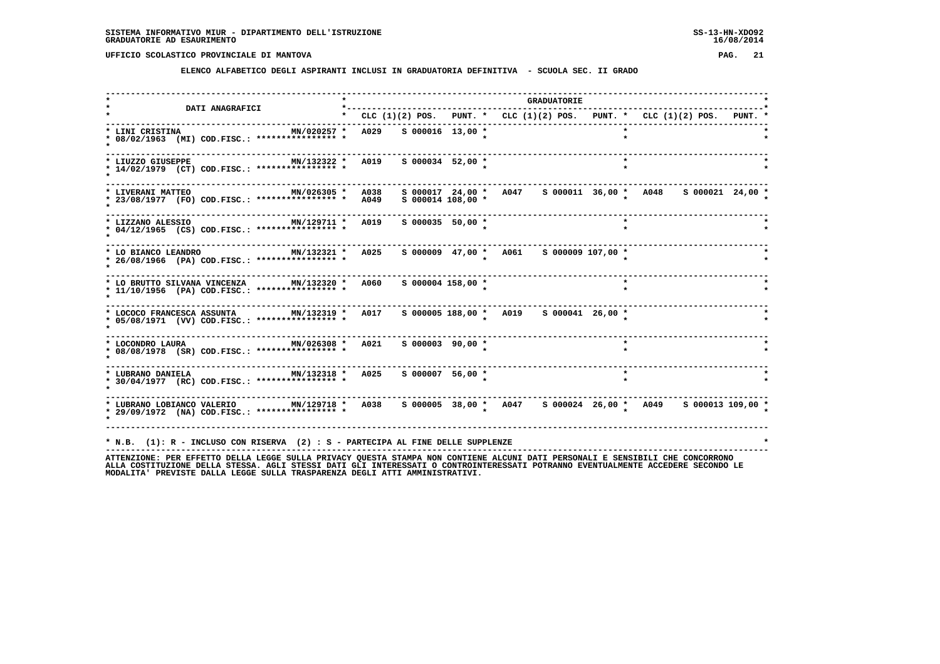**ELENCO ALFABETICO DEGLI ASPIRANTI INCLUSI IN GRADUATORIA DEFINITIVA - SCUOLA SEC. II GRADO**

|                                                                                                                                                                 | *----------  |                      |                                                                               | <b>GRADUATORIE</b> |                          |         |  |  |
|-----------------------------------------------------------------------------------------------------------------------------------------------------------------|--------------|----------------------|-------------------------------------------------------------------------------|--------------------|--------------------------|---------|--|--|
| <b>DATI ANAGRAFICI</b>                                                                                                                                          |              |                      | * CLC $(1)(2)$ POS. PUNT. * CLC $(1)(2)$ POS. PUNT. * CLC $(1)(2)$ POS. PUNT. |                    |                          |         |  |  |
| * LINI CRISTINA<br>MN/020257 *<br>* 08/02/1963 (MI) COD.FISC.: **************** *                                                                               | A029         | $S$ 000016 13,00 *   |                                                                               |                    |                          |         |  |  |
| MN/132322 * A019<br>* LIUZZO GIUSEPPE<br>* 14/02/1979 (CT) COD.FISC.: **************** *                                                                        |              | $S$ 000034 52,00 *   |                                                                               |                    | $\overline{\phantom{a}}$ |         |  |  |
| * LIVERANI MATTEO<br>MN/026305 *<br>* 23/08/1977 (FO) COD.FISC.: *************** *                                                                              | A038<br>A049 | $S$ 000014 108,00 *  | s 000017 24,00 * A047 s 000011 36,00 * A048 s 000021 24,00 *                  |                    |                          |         |  |  |
| MN/129711 *<br>* LIZZANO ALESSIO<br>* 04/12/1965 (CS) COD.FISC.: **************** *                                                                             | A019         | $S$ 000035 50,00 *   |                                                                               |                    |                          |         |  |  |
| MN/132321 *<br>* LO BIANCO LEANDRO<br>* 26/08/1966 (PA) COD.FISC.: **************** *                                                                           | A025         |                      |                                                                               |                    |                          |         |  |  |
| * LO BRUTTO SILVANA VINCENZA MN/132320 * A060<br>* 11/10/1956 (PA) COD.FISC.: **************** *                                                                |              | S 000004 158,00 *    |                                                                               |                    |                          |         |  |  |
| * LOCOCO FRANCESCA ASSUNTA MN/132319 * A017<br>* 05/08/1971 (VV) COD.FISC.: **************** *                                                                  |              |                      |                                                                               |                    |                          |         |  |  |
| MN/026308 *<br>* LOCONDRO LAURA<br>* 08/08/1978 (SR) COD.FISC.: **************** *                                                                              | A021         | $S$ 000003 90,00 $*$ |                                                                               |                    |                          | $\star$ |  |  |
| MN/132318 *<br>* LUBRANO DANIELA<br>* 30/04/1977 (RC) COD.FISC.: **************** *                                                                             | A025         | $S$ 000007 56,00 *   |                                                                               |                    |                          | $\star$ |  |  |
| MN/129718 * A038 S 000005 38,00 * A047 S 000024 26,00 * A049 S 000013 109,00 *<br>* LUBRANO LOBIANCO VALERIO<br>* 29/09/1972 (NA) COD.FISC.: **************** * |              |                      |                                                                               |                    |                          |         |  |  |
| * N.B. (1): R - INCLUSO CON RISERVA (2) : S - PARTECIPA AL FINE DELLE SUPPLENZE                                                                                 |              |                      |                                                                               |                    |                          |         |  |  |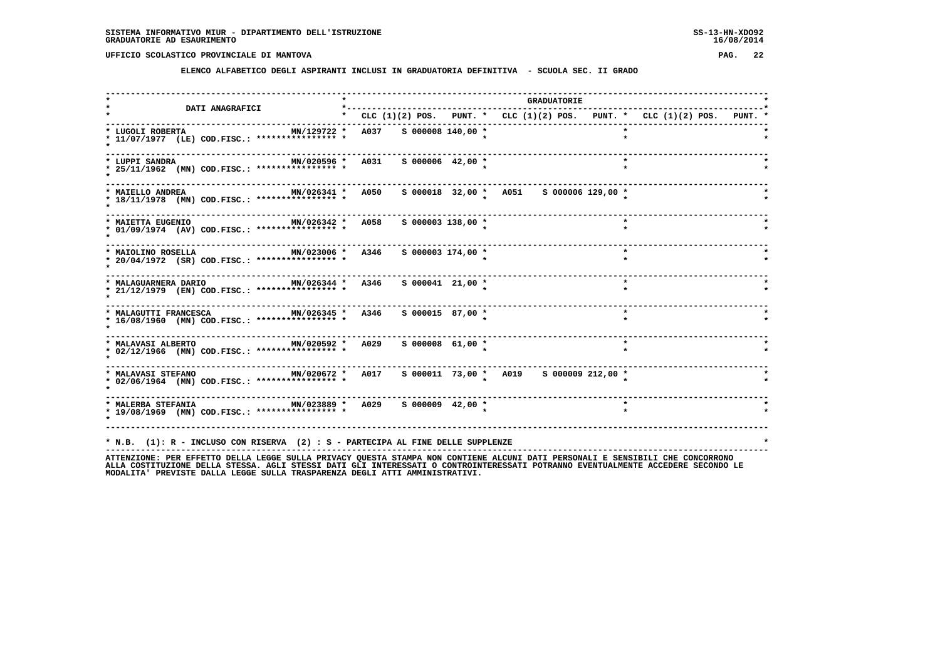**ELENCO ALFABETICO DEGLI ASPIRANTI INCLUSI IN GRADUATORIA DEFINITIVA - SCUOLA SEC. II GRADO**

|                                                                                                                                                                                                                  |                                                                           |  |                       |  | <b>GRADUATORIE</b> |  |         |  |  |  |
|------------------------------------------------------------------------------------------------------------------------------------------------------------------------------------------------------------------|---------------------------------------------------------------------------|--|-----------------------|--|--------------------|--|---------|--|--|--|
| <b>DATI ANAGRAFICI</b>                                                                                                                                                                                           | * CLC (1)(2) POS. PUNT. * CLC (1)(2) POS. PUNT. * CLC (1)(2) POS. PUNT. * |  |                       |  |                    |  |         |  |  |  |
| MN/129722 * A037 S 000008 140,00 *<br>* LUGOLI ROBERTA<br>* 11/07/1977 (LE) COD.FISC.: **************** *                                                                                                        |                                                                           |  |                       |  |                    |  |         |  |  |  |
| * LUPPI SANDRA<br>MN/020596 * A031 S 000006 42,00 *<br>* 25/11/1962 (MN) COD.FISC.: **************** *                                                                                                           |                                                                           |  |                       |  |                    |  |         |  |  |  |
| MN/026341 * A050<br>* MAIELLO ANDREA<br>* 18/11/1978 (MN) COD.FISC.: **************** *                                                                                                                          |                                                                           |  |                       |  |                    |  |         |  |  |  |
| MN/026342 * A058<br>* MAIETTA EUGENIO<br>* 01/09/1974 (AV) COD.FISC.: **************** *                                                                                                                         |                                                                           |  | $S$ 000003 138,00 $*$ |  |                    |  | $\star$ |  |  |  |
| MN/023006 * A346 S 000003 174,00 *<br>* MAIOLINO ROSELLA<br>* 20/04/1972 (SR) COD.FISC.: **************** *                                                                                                      |                                                                           |  |                       |  |                    |  | $\star$ |  |  |  |
| MN/026344 * A346<br>* MALAGUARNERA DARIO<br>* 21/12/1979 (EN) COD.FISC.: *************** *                                                                                                                       |                                                                           |  | $S$ 000041 21,00 *    |  |                    |  | $\star$ |  |  |  |
| * MALAGUTTI FRANCESCA MN/026345 * A346<br>* 16/08/1960 (MN) COD.FISC.: **************** *                                                                                                                        |                                                                           |  | S 000015 87,00 *      |  |                    |  | $\star$ |  |  |  |
| MN/020592 * A029<br>* MALAVASI ALBERTO<br>* 02/12/1966 (MN) COD.FISC.: **************** *                                                                                                                        |                                                                           |  | $S$ 000008 61,00 $*$  |  |                    |  | $\star$ |  |  |  |
| * MALAVASI STEFANO<br>* 02/06/1964 (MN) COD.FISC.: **************** *                                                                                                                                            |                                                                           |  |                       |  |                    |  |         |  |  |  |
| * MALERBA STEFANIA<br>* MM/023889 * A029 \$ 000009 42,00 *<br>* 19/08/1969 (MM) COD.FISC.: *************** * *                                                                                                   |                                                                           |  |                       |  |                    |  |         |  |  |  |
| * N.B. (1): R - INCLUSO CON RISERVA (2) : S - PARTECIPA AL FINE DELLE SUPPLENZE<br>ATTENZIONE: PER EFFETTO DELLA LEGGE SULLA PRIVACY OUESTA STAMPA NON CONTIENE ALCUNI DATI PERSONALI E SENSIBILI CHE CONCORRONO |                                                                           |  |                       |  |                    |  |         |  |  |  |

ATTENZIONE: PER EFFETTO DELLA LEGGE SULLA PRIVACY QUESTA STAMPA NON CONTIENE ALCUNI DATI PERSONALI E SENSIBILI CHE CONCORRONO<br>ALLA COSTITUZIONE DELLA STESSA, AGLI STESSI DATI GLI INTERESSATI O CONTROINTERESSATI POTRANNO EV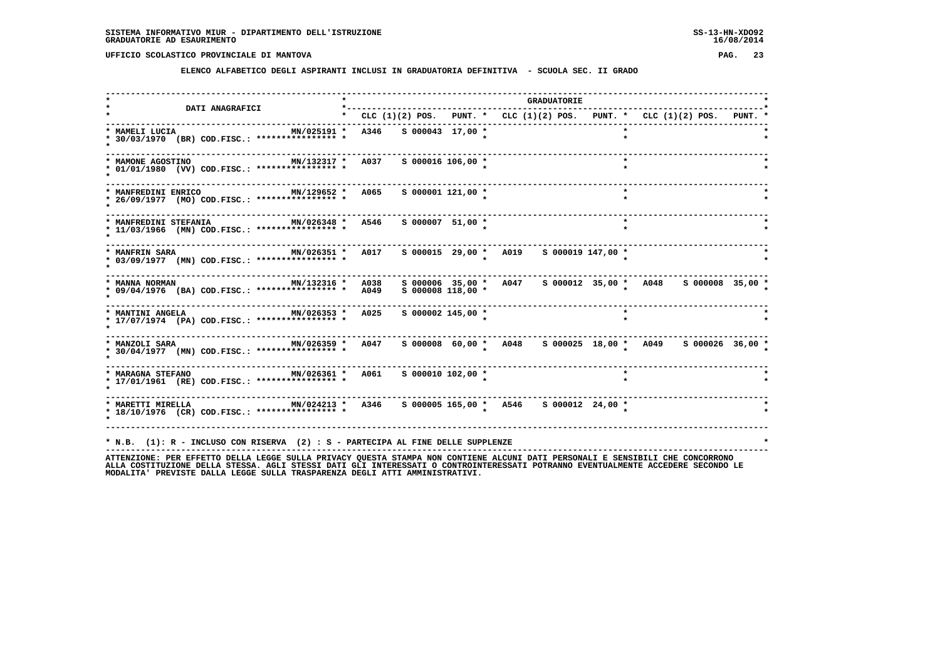**ELENCO ALFABETICO DEGLI ASPIRANTI INCLUSI IN GRADUATORIA DEFINITIVA - SCUOLA SEC. II GRADO**

| <b>DATI ANAGRAFICI</b>                                                                    | *---------- |                       |                                                                               | <b>GRADUATORIE</b> |         |  |  |
|-------------------------------------------------------------------------------------------|-------------|-----------------------|-------------------------------------------------------------------------------|--------------------|---------|--|--|
|                                                                                           |             |                       | * CLC $(1)(2)$ POS. PUNT. * CLC $(1)(2)$ POS. PUNT. * CLC $(1)(2)$ POS. PUNT. |                    |         |  |  |
| MN/025191 *<br>* MAMELI LUCIA<br>* 30/03/1970 (BR) COD.FISC.: **************** *          | A346        | S 000043 17,00 *      |                                                                               |                    |         |  |  |
| * MAMONE AGOSTINO<br>MN/132317 * A037<br>* 01/01/1980 (VV) COD.FISC.: **************** *  |             | S 000016 106,00 *     |                                                                               |                    | $\star$ |  |  |
| MN/129652 *<br>* MANFREDINI ENRICO<br>* 26/09/1977 (MO) COD.FISC.: **************** *     | A065        | $S$ 000001 121,00 *   |                                                                               |                    | $\star$ |  |  |
| $MN/026348$ *<br>* MANFREDINI STEFANIA<br>* 11/03/1966 (MN) COD.FISC.: **************** * | A546        | S 000007 51,00 *      |                                                                               |                    | $\star$ |  |  |
| MN/026351 * A017<br>* MANFRIN SARA<br>* 03/09/1977 (MN) COD.FISC.: **************** *     |             |                       |                                                                               |                    |         |  |  |
| * 09/04/1976 (BA) COD.FISC.: **************** *                                           | <b>A049</b> | $S$ 000008 118,00 $*$ | s 000006 35,00 * A047 s 000012 35,00 * A048 s 000008 35,00 *                  |                    |         |  |  |
| * MANTINI ANGELA NO MN/026353 *<br>* 17/07/1974 (PA) COD.FISC.: **************** *        | A025        | $S$ 000002 145,00 *   |                                                                               |                    |         |  |  |
| MN/026359 *<br>* MANZOLI SARA<br>* 30/04/1977 (MN) COD.FISC.: **************** *          | A047        |                       | s 000008 60,00 * A048 s 000025 18,00 * A049 s 000026 36,00 *                  |                    |         |  |  |
| MN/026361 *<br>* MARAGNA STEFANO<br>* 17/01/1961 (RE) COD.FISC.: **************** *       | <b>A061</b> | $S$ 000010 102,00 *   |                                                                               |                    |         |  |  |
| * MARETTI MIRELLA<br>* 18/10/1976 (CR) COD.FISC.: **************** *                      |             |                       | MN/024213 * A346 S 000005 165,00 * A546 S 000012 24,00 *                      |                    |         |  |  |
| * N.B. (1): R - INCLUSO CON RISERVA (2) : S - PARTECIPA AL FINE DELLE SUPPLENZE           |             |                       |                                                                               |                    |         |  |  |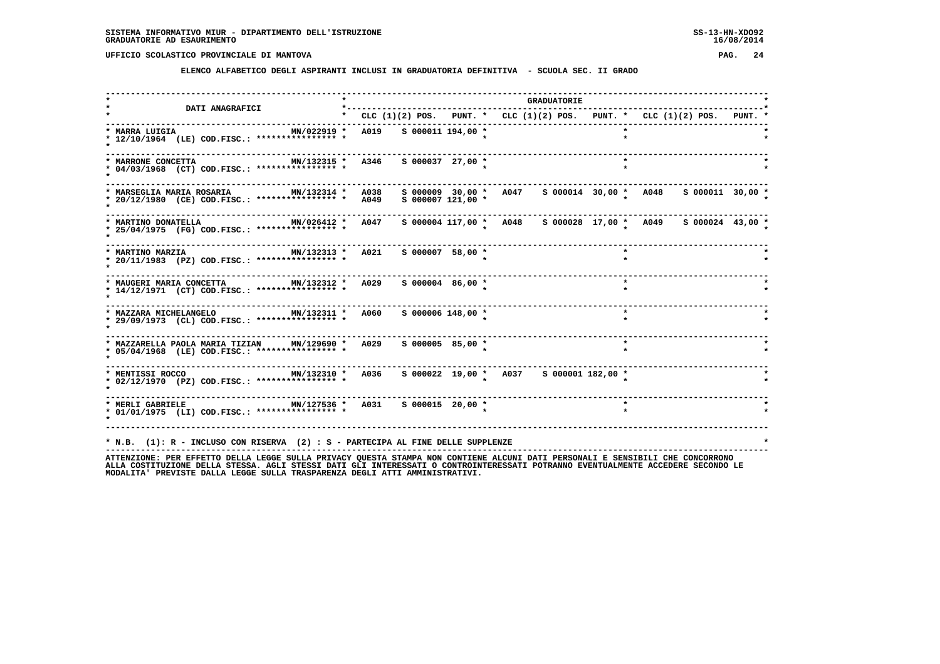**ELENCO ALFABETICO DEGLI ASPIRANTI INCLUSI IN GRADUATORIA DEFINITIVA - SCUOLA SEC. II GRADO**

| <b>DATI ANAGRAFICI</b>                                                                                                               | *-------------------------------------                                          |  |                                                                                       |  | <b>GRADUATORIE</b> |         |  |  |  |
|--------------------------------------------------------------------------------------------------------------------------------------|---------------------------------------------------------------------------------|--|---------------------------------------------------------------------------------------|--|--------------------|---------|--|--|--|
|                                                                                                                                      | * CLC $(1)(2)$ POS. PUNT. * CLC $(1)(2)$ POS. PUNT. * CLC $(1)(2)$ POS. PUNT. * |  |                                                                                       |  |                    |         |  |  |  |
| * MARRA LUIGIA<br>MN/022919 *<br>* 12/10/1964 (LE) COD.FISC.: **************** *                                                     | A019 S 000011 194,00 *                                                          |  |                                                                                       |  |                    |         |  |  |  |
| MN/132315 * A346<br>* MARRONE CONCETTA<br>* 04/03/1968 (CT) COD.FISC.: **************** *                                            |                                                                                 |  | S 000037 27,00 *                                                                      |  |                    |         |  |  |  |
| MN/132314 *<br>* MARSEGLIA MARIA ROSARIA<br>* 20/12/1980 (CE) COD.FISC.: *************** * A049                                      | A038                                                                            |  | s 000009 30,00 * A047 s 000014 30,00 * A048 s 000011 30,00 *<br>$S$ 000007 121,00 $*$ |  |                    |         |  |  |  |
| MN/026412 * A047<br>* MARTINO DONATELLA<br>* 25/04/1975 (FG) COD.FISC.: **************** *                                           |                                                                                 |  | s 000004 117,00 * A048 s 000028 17,00 * A049 s 000024 43,00 *                         |  |                    |         |  |  |  |
| MN/132313 * A021<br>* MARTINO MARZIA<br>* 20/11/1983 (PZ) COD.FISC.: *************** *                                               |                                                                                 |  | $S$ 000007 58,00 $*$                                                                  |  |                    | $\star$ |  |  |  |
| $MN/132312$ *<br>* MAUGERI MARIA CONCETTA<br>* 14/12/1971 (CT) COD.FISC.: **************** *                                         | A029                                                                            |  | $S$ 000004 86,00 $*$                                                                  |  |                    | $\star$ |  |  |  |
| MN/132311 * A060<br>* MAZZARA MICHELANGELO<br>* 29/09/1973 (CL) COD.FISC.: **************** *                                        |                                                                                 |  | S 000006 148,00 *                                                                     |  |                    | $\star$ |  |  |  |
| * MAZZARELLA PAOLA MARIA TIZIAN MN/129690 * A029<br>* 05/04/1968 (LE) COD.FISC.: **************** *                                  |                                                                                 |  | S 000005 85,00 *                                                                      |  |                    | $\star$ |  |  |  |
| * MENTISSI ROCCO 6 100 MN/132310 * 4036 \$ 000022 19,00 * 4037 \$ 000001 182,00 *<br>* 02/12/1970 (PZ) COD.FISC.: **************** * |                                                                                 |  |                                                                                       |  |                    |         |  |  |  |
| * MERLI GABRIELE 6000015 20,00 *<br>* 01/01/1975 (LI) COD.FISC.: **************** *                                                  |                                                                                 |  |                                                                                       |  |                    |         |  |  |  |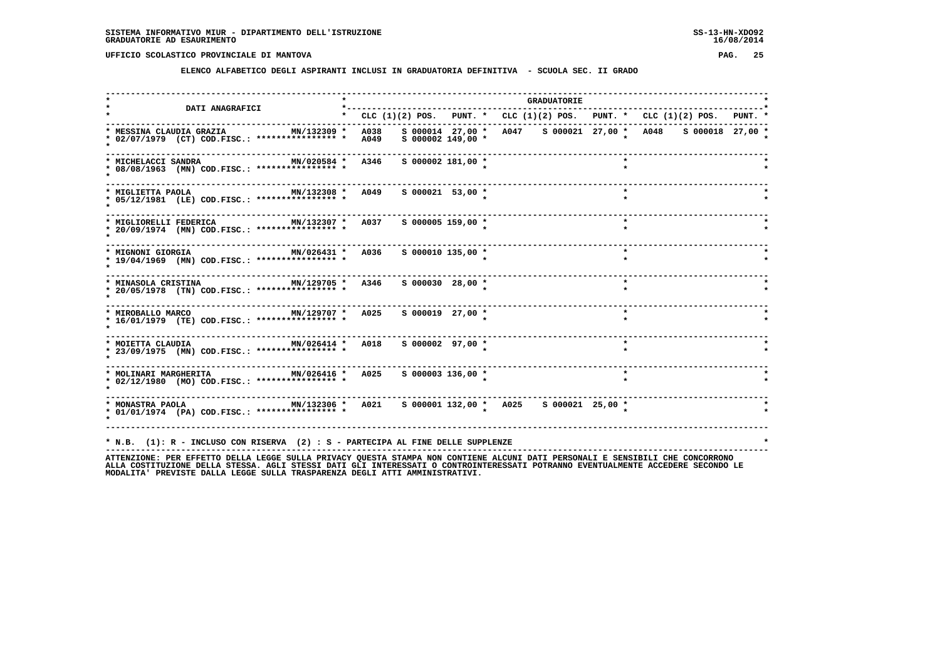**ELENCO ALFABETICO DEGLI ASPIRANTI INCLUSI IN GRADUATORIA DEFINITIVA - SCUOLA SEC. II GRADO**

| <b>DATI ANAGRAFICI</b>                                                                                                                                                                                                   |                                                                           |                      |  | <b>GRADUATORIE</b> |         |                                                              |  |
|--------------------------------------------------------------------------------------------------------------------------------------------------------------------------------------------------------------------------|---------------------------------------------------------------------------|----------------------|--|--------------------|---------|--------------------------------------------------------------|--|
|                                                                                                                                                                                                                          | * CLC (1)(2) POS. PUNT. * CLC (1)(2) POS. PUNT. * CLC (1)(2) POS. PUNT. * |                      |  |                    |         |                                                              |  |
| MN/132309 *<br>* MESSINA CLAUDIA GRAZIA<br>* 02/07/1979 (CT) COD.FISC.: **************** *                                                                                                                               | A038<br>A049                                                              | $S$ 000002 149,00 *  |  |                    |         | s 000014 27,00 * A047 s 000021 27,00 * A048 s 000018 27,00 * |  |
| MN/020584 * A346<br>* MICHELACCI SANDRA<br>* 08/08/1963 (MN) COD.FISC.: **************** *                                                                                                                               | -------                                                                   | $S$ 000002 181,00 *  |  |                    |         |                                                              |  |
| MN/132308 * A049<br>* MIGLIETTA PAOLA<br>* 05/12/1981 (LE) COD.FISC.: **************** *                                                                                                                                 |                                                                           | $S$ 000021 53,00 *   |  |                    | $\star$ |                                                              |  |
| MN/132307 * A037 S 000005 159,00 *<br>* MIGLIORELLI FEDERICA<br>* 20/09/1974 (MN) COD.FISC.: **************** *                                                                                                          |                                                                           |                      |  |                    | $\star$ |                                                              |  |
| ------------------------------------<br>MN/026431 * A036<br>* MIGNONI GIORGIA<br>* 19/04/1969 (MN) COD.FISC.: **************** *                                                                                         |                                                                           | $S$ 000010 135,00 *  |  |                    |         |                                                              |  |
| MN/129705 * A346<br>* MINASOLA CRISTINA<br>* 20/05/1978 (TN) COD.FISC.: **************** *                                                                                                                               |                                                                           | $S$ 000030 28,00 $*$ |  |                    | $\star$ |                                                              |  |
| MN/129707 * A025<br>* MIROBALLO MARCO<br>* 16/01/1979 (TE) COD.FISC.: **************** *                                                                                                                                 |                                                                           | $S$ 000019 27,00 *   |  |                    | $\star$ |                                                              |  |
| * MOIETTA CLAUDIA<br>* 23/09/1975 (MN) COD.FISC.: **************** *                                                                                                                                                     |                                                                           |                      |  |                    | $\star$ |                                                              |  |
| * MOLINARI MARGHERITA MN/026416 * A025<br>* 02/12/1980 (MO) COD.FISC.: **************** *                                                                                                                                |                                                                           | $S$ 000003 136,00 *  |  |                    |         |                                                              |  |
| * MONASTRA PAOLA                         MM/132306 *   A021     S 000001 132,00 *   A025     S 000021  25,00 *<br>* 01/01/1974 (PA) COD.FISC.: **************** *                                                        |                                                                           |                      |  |                    |         |                                                              |  |
| * N.B. (1): R - INCLUSO CON RISERVA (2) : S - PARTECIPA AL FINE DELLE SUPPLENZE<br>ATTENTIONE. OF FEET ON THE CONFIDENTIAL STILLE STILLER ON THE STANDA NON CONTIENT ALCUNITE ATTE OF CONTALLE CENCELLITE CUP CONCORDONO |                                                                           |                      |  |                    |         |                                                              |  |

ATTENZIONE: PER EFFETTO DELLA LEGGE SULLA PRIVACY QUESTA STAMPA NON CONTIENE ALCUNI DATI PERSONALI E SENSIBILI CHE CONCORRONO<br>ALLA COSTITUZIONE DELLA STESSA, AGLI STESSI DATI GLI INTERESSATI O CONTROINTERESSATI POTRANNO EV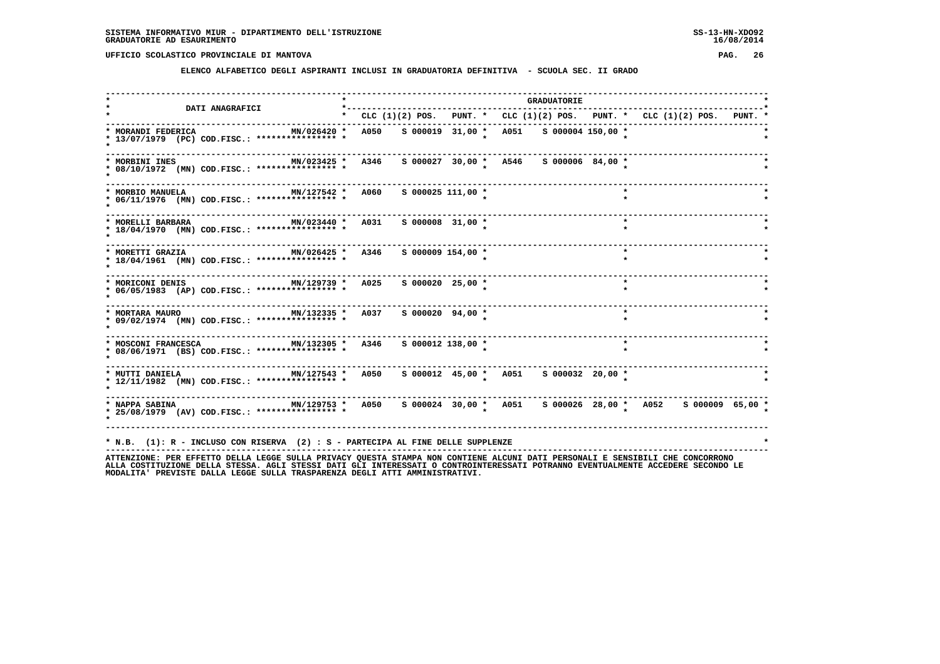**ELENCO ALFABETICO DEGLI ASPIRANTI INCLUSI IN GRADUATORIA DEFINITIVA - SCUOLA SEC. II GRADO**

|                                                                                                                 |      |                       |                                              | <b>GRADUATORIE</b> |         |                                                                               |  |
|-----------------------------------------------------------------------------------------------------------------|------|-----------------------|----------------------------------------------|--------------------|---------|-------------------------------------------------------------------------------|--|
| <b>DATI ANAGRAFICI</b><br>--------------------------------                                                      |      |                       |                                              |                    |         | * CLC (1)(2) POS. PUNT. * CLC (1)(2) POS. PUNT. * CLC (1)(2) POS. PUNT. *     |  |
| * MORANDI FEDERICA<br>MN/026420 *<br>* 13/07/1979 (PC) COD.FISC.: **************** *                            |      |                       | A050 S 000019 31,00 * A051 S 000004 150,00 * |                    |         |                                                                               |  |
| MN/023425 *<br>* MORBINI INES<br>* 08/10/1972 (MN) COD.FISC.: **************** *                                | A346 |                       |                                              |                    |         |                                                                               |  |
| MN/127542 * A060<br>* MORBIO MANUELA<br>* 06/11/1976 (MN) COD.FISC.: **************** *                         |      | $S$ 000025 111,00 $*$ |                                              |                    | $\star$ |                                                                               |  |
| MN/023440 * A031<br>* MORELLI BARBARA<br>* 18/04/1970 (MN) COD.FISC.: **************** *                        |      | $S$ 000008 31,00 $*$  |                                              |                    | $\star$ |                                                                               |  |
| MN/026425 * A346<br>* MORETTI GRAZIA<br>* 18/04/1961 (MN) COD.FISC.: **************** *                         |      | S 000009 154,00 *     |                                              |                    | $\star$ |                                                                               |  |
| * MORICONI DENIS                       MN/129739 *     A025<br>* 06/05/1983 (AP) COD.FISC.: **************** *  |      | S 000020 25,00 *      |                                              |                    | $\star$ |                                                                               |  |
| * MORTARA MAURO                         MN/132335 *     A037<br>* 09/02/1974 (MN) COD.FISC.: **************** * |      | S 000020 94,00 *      |                                              |                    | $\star$ |                                                                               |  |
| MN/132305 *<br>* MOSCONI FRANCESCA<br>* 08/06/1971 (BS) COD.FISC.: **************** *                           | A346 | $S$ 000012 138,00 $*$ |                                              |                    |         |                                                                               |  |
| MN/127543 *<br>* MUTTI DANIELA<br>* 12/11/1982 (MN) COD.FISC.: **************** *                               | A050 |                       | s 000012 45,00 * A051 s 000032 20,00 *       |                    |         |                                                                               |  |
| * NAPPA SABINA<br>* 25/08/1979 (AV) COD.FISC.: **************** *                                               |      |                       |                                              |                    |         | MN/129753 * A050 S 000024 30,00 * A051 S 000026 28,00 * A052 S 000009 65,00 * |  |
| * N.B. (1): R - INCLUSO CON RISERVA (2) : S - PARTECIPA AL FINE DELLE SUPPLENZE                                 |      |                       |                                              |                    |         |                                                                               |  |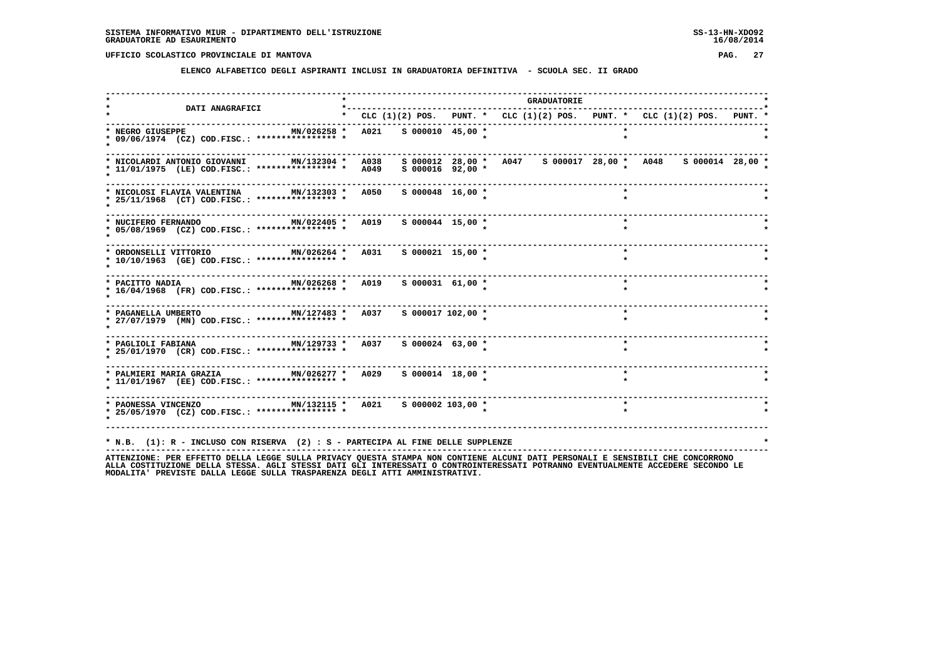**ELENCO ALFABETICO DEGLI ASPIRANTI INCLUSI IN GRADUATORIA DEFINITIVA - SCUOLA SEC. II GRADO**

| <b>DATI ANAGRAFICI</b>                                                                                                        | $*$ - - - - - - - -   |                    |                                                                                 | <b>GRADUATORIE</b> |         |  |  |
|-------------------------------------------------------------------------------------------------------------------------------|-----------------------|--------------------|---------------------------------------------------------------------------------|--------------------|---------|--|--|
|                                                                                                                               |                       |                    | * CLC $(1)(2)$ POS. PUNT. * CLC $(1)(2)$ POS. PUNT. * CLC $(1)(2)$ POS. PUNT. * |                    |         |  |  |
| * NEGRO GIUSEPPE<br>MN/026258 *<br>* 09/06/1974 (CZ) COD.FISC.: **************** *                                            | A021 S 000010 45,00 * |                    |                                                                                 |                    |         |  |  |
| MN/132304 *<br>* NICOLARDI ANTONIO GIOVANNI<br>* 11/01/1975 (LE) COD.FISC.: **************** *                                | A038<br>A049          | $S$ 000016 92,00 * | s 000012 28,00 * A047 s 000017 28,00 * A048 s 000014 28,00 *                    |                    |         |  |  |
| MN/132303 * A050<br>* NICOLOSI FLAVIA VALENTINA<br>* 25/11/1968 (CT) COD.FISC.: **************** *                            |                       | $S$ 000048 16,00 * |                                                                                 |                    | $\star$ |  |  |
| MN/022405 *<br>* NUCIFERO FERNANDO<br>* 05/08/1969 (CZ) COD.FISC.: **************** *                                         | A019                  | S 000044 15,00 *   |                                                                                 |                    | $\star$ |  |  |
| MN/026264 * A031<br>* ORDONSELLI VITTORIO<br>* 10/10/1963 (GE) COD.FISC.: **************** *                                  |                       | $S$ 000021 15,00 * |                                                                                 |                    | $\star$ |  |  |
| MN/026268 *<br>* PACITTO NADIA<br>* 16/04/1968 (FR) COD.FISC.: **************** *                                             | A019                  | $S$ 000031 61,00 * |                                                                                 |                    | $\star$ |  |  |
| MN/127483 * A037 S 000017 102,00 *<br>* PAGANELLA UMBERTO<br>* 27/07/1979 (MN) COD.FISC.: **************** *                  |                       |                    |                                                                                 |                    | $\star$ |  |  |
| $MN/129733$ * $A037$<br>* PAGLIOLI FABIANA<br>* 25/01/1970 (CR) COD.FISC.: *************** *                                  |                       | $S$ 000024 63,00 * |                                                                                 |                    |         |  |  |
| * PALMIERI MARIA GRAZIA MN/026277 * A029<br>* 11/01/1967 (EE) COD.FISC.: **************** *                                   |                       | $S$ 000014 18,00 * |                                                                                 |                    | $\star$ |  |  |
| * PAONESSA VINCENZO               MN/132115 *   A021     S 000002 103,00 *<br>* 25/05/1970 (CZ) COD.FISC.: **************** * |                       |                    |                                                                                 |                    | $\star$ |  |  |
| * N.B. (1): R - INCLUSO CON RISERVA (2) : S - PARTECIPA AL FINE DELLE SUPPLENZE                                               |                       |                    |                                                                                 |                    |         |  |  |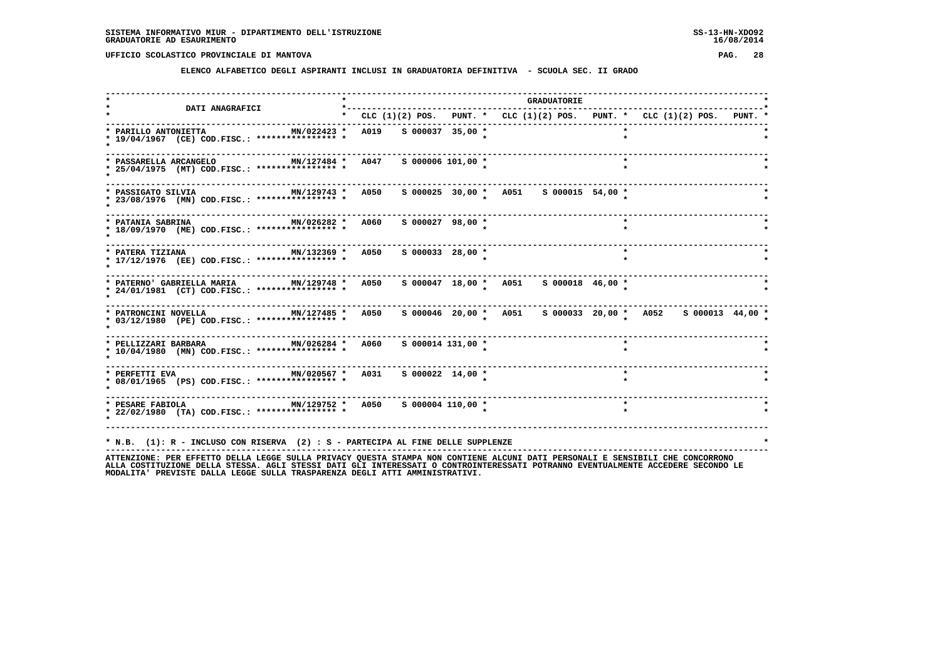**ELENCO ALFABETICO DEGLI ASPIRANTI INCLUSI IN GRADUATORIA DEFINITIVA - SCUOLA SEC. II GRADO**

| <b>DATI ANAGRAFICI</b>                                                                                                                                      |  |                      |                                                                           | <b>GRADUATORIE</b> |         |  |  |
|-------------------------------------------------------------------------------------------------------------------------------------------------------------|--|----------------------|---------------------------------------------------------------------------|--------------------|---------|--|--|
|                                                                                                                                                             |  |                      | * CLC (1)(2) POS. PUNT. * CLC (1)(2) POS. PUNT. * CLC (1)(2) POS. PUNT. * |                    |         |  |  |
| MN/022423 * A019 S 000037 35,00 *<br>* PARILLO ANTONIETTA<br>* 19/04/1967 (CE) COD.FISC.: **************** *                                                |  |                      |                                                                           |                    |         |  |  |
| MN/127484 * A047 S 000006 101,00 *<br>* PASSARELLA ARCANGELO<br>* 25/04/1975 (MT) COD.FISC.: **************** *                                             |  |                      |                                                                           |                    | $\star$ |  |  |
| MN/129743 * A050<br>* PASSIGATO SILVIA<br>* 23/08/1976 (MN) COD.FISC.: *************** *                                                                    |  |                      |                                                                           |                    |         |  |  |
| MIN/026282 * A060<br>* PATANIA SABRINA<br>* 18/09/1970 (ME) COD.FISC.: **************** *                                                                   |  | $S$ 000027 98,00 *   |                                                                           |                    |         |  |  |
| MN/132369 * A050<br>* PATERA TIZIANA<br>* 17/12/1976 (EE) COD.FISC.: **************** *                                                                     |  | $S$ 000033 28,00 $*$ |                                                                           |                    | $\star$ |  |  |
| * PATERNO' GABRIELLA MARIA MN/129748 * A050<br>* 24/01/1981 (CT) COD.FISC.: **************** *                                                              |  |                      | s 000047 18,00 * A051 s 000018 46,00 *                                    |                    |         |  |  |
| MN/127485 * A050 \$ 000046 20,00 * A051 \$ 000033 20,00 * A052 \$ 000013 44,00 *<br>* PATRONCINI NOVELLA<br>* 03/12/1980 (PE) COD.FISC.: **************** * |  |                      |                                                                           |                    |         |  |  |
| MN/026284 * A060<br>* PELLIZZARI BARBARA<br>* 10/04/1980 (MN) COD.FISC.: **************** *                                                                 |  | s 000014 131,00 *    |                                                                           |                    |         |  |  |
| * PERFETTI EVA                           MN/020567 *   A031     S 000022 14,00 *<br>* 08/01/1965 (PS) COD.FISC.: **************** *                         |  |                      |                                                                           |                    | $\star$ |  |  |
| * PESARE FABIOLA $MN/129752$ * A050 \$ 000004 110,00 *<br>* 22/02/1980 (TA) COD.FISC.: **************** *                                                   |  |                      |                                                                           |                    | $\star$ |  |  |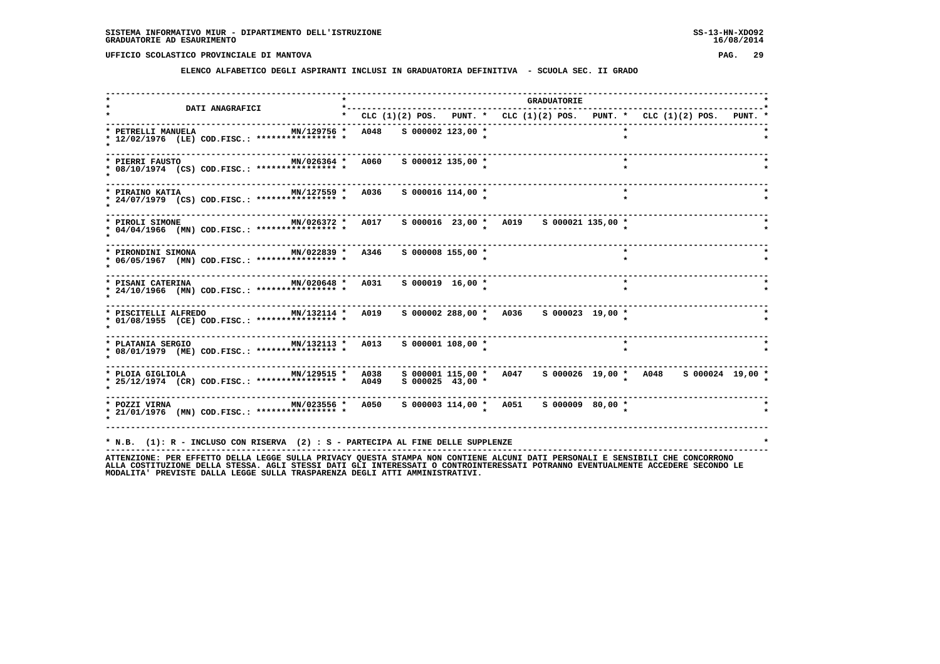**ELENCO ALFABETICO DEGLI ASPIRANTI INCLUSI IN GRADUATORIA DEFINITIVA - SCUOLA SEC. II GRADO**

|                                                                                           |                        |                       |                                                                               | <b>GRADUATORIE</b> |                    |  |  |
|-------------------------------------------------------------------------------------------|------------------------|-----------------------|-------------------------------------------------------------------------------|--------------------|--------------------|--|--|
| <b>DATI ANAGRAFICI</b>                                                                    |                        |                       | * CLC $(1)(2)$ POS. PUNT. * CLC $(1)(2)$ POS. PUNT. * CLC $(1)(2)$ POS. PUNT. |                    |                    |  |  |
| MN/129756 *<br>* PETRELLI MANUELA<br>* 12/02/1976 (LE) COD.FISC.: **************** *      | A048 S 000002 123,00 * |                       |                                                                               |                    | $\star$            |  |  |
| MN/026364 * A060<br>* PIERRI FAUSTO<br>* 08/10/1974 (CS) COD.FISC.: **************** *    |                        | S 000012 135,00 *     |                                                                               |                    | $\star$            |  |  |
| MN/127559 * A036<br>* PIRAINO KATIA<br>* 24/07/1979 (CS) COD.FISC.: *************** *     |                        | $S$ 000016 114,00 *   |                                                                               |                    | $\star$<br>$\star$ |  |  |
| MN/026372 *<br>* PIROLI SIMONE<br>* 04/04/1966 (MN) COD.FISC.: **************** *         | A017                   |                       | s 000016 23,00 * A019 s 000021 135,00 *                                       |                    |                    |  |  |
| MN/022839 * A346<br>* PIRONDINI SIMONA<br>* 06/05/1967 (MN) COD.FISC.: **************** * |                        | S 000008 155,00 *     |                                                                               |                    | $\star$            |  |  |
| * PISANI CATERINA 6031<br>* 24/10/1966 (MN) COD.FISC.: **************** *                 |                        | $S$ 000019 16,00 *    |                                                                               |                    | $\star$            |  |  |
| * PISCITELLI ALFREDO MN/132114 *<br>* 01/08/1955 (CE) COD.FISC.: **************** *       | A019                   |                       | S 000002 288,00 * A036 S 000023 19,00 *                                       |                    |                    |  |  |
| $MN/132113$ *<br>* PLATANIA SERGIO<br>* 08/01/1979 (ME) COD.FISC.: **************** *     | A013                   | $S$ 000001 108,00 $*$ |                                                                               |                    | $\star$            |  |  |
| MN/129515 *<br>* PLOIA GIGLIOLA<br>* 25/12/1974 (CR) COD.FISC.: **************** *        | A038<br>A049           | $S$ 000025 43,00 $*$  | s 000001 115,00 * A047 s 000026 19,00 * A048 s 000024 19,00 *                 |                    |                    |  |  |
| MN/023556 * A050<br>* POZZI VIRNA<br>* 21/01/1976 (MN) COD.FISC.: **************** *      |                        |                       | s 000003 114,00 * A051 s 000009 80,00 *                                       |                    |                    |  |  |
| * N.B. (1): R - INCLUSO CON RISERVA (2) : S - PARTECIPA AL FINE DELLE SUPPLENZE           |                        |                       |                                                                               |                    |                    |  |  |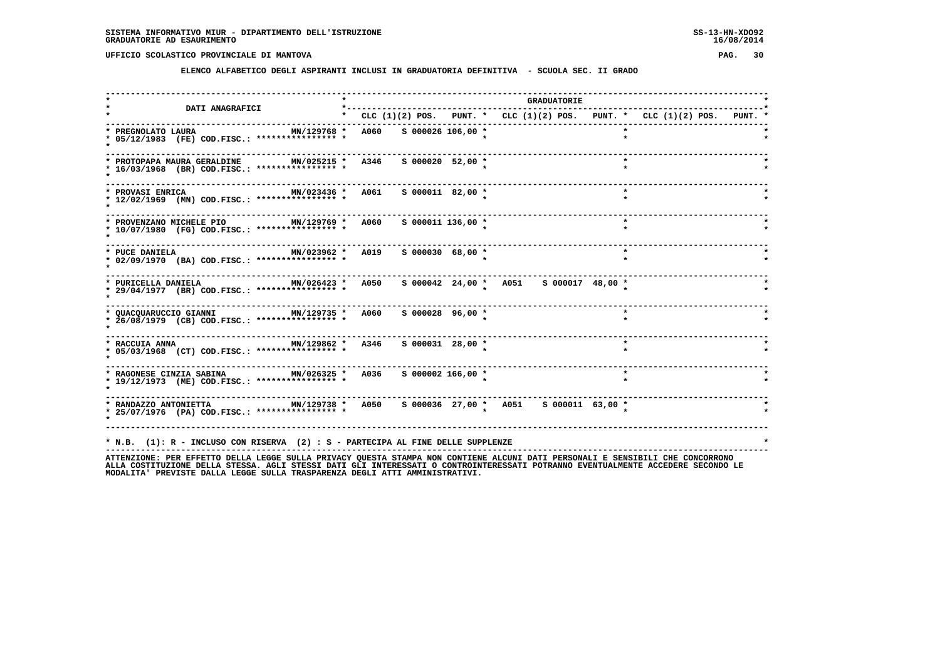**ELENCO ALFABETICO DEGLI ASPIRANTI INCLUSI IN GRADUATORIA DEFINITIVA - SCUOLA SEC. II GRADO**

| <b>DATI ANAGRAFICI</b>                                                                                                   |                                                                               |  |                                        |  | <b>GRADUATORIE</b>     |  |         |  |  |  |
|--------------------------------------------------------------------------------------------------------------------------|-------------------------------------------------------------------------------|--|----------------------------------------|--|------------------------|--|---------|--|--|--|
|                                                                                                                          | * CLC $(1)(2)$ POS. PUNT. * CLC $(1)(2)$ POS. PUNT. * CLC $(1)(2)$ POS. PUNT. |  |                                        |  |                        |  |         |  |  |  |
| * PREGNOLATO LAURA<br>MN/129768 * A060 S 000026 106,00 *<br>* 05/12/1983 (FE) COD.FISC.: **************** *              |                                                                               |  |                                        |  |                        |  |         |  |  |  |
| MN/025215 * A346<br>* PROTOPAPA MAURA GERALDINE<br>* 16/03/1968 (BR) COD.FISC.: **************** *                       |                                                                               |  | S 000020 52,00 *                       |  |                        |  | $\star$ |  |  |  |
| MN/023436 * A061<br>* PROVASI ENRICA<br>* 12/02/1969 (MN) COD.FISC.: **************** *                                  |                                                                               |  | $S$ 000011 82,00 $*$                   |  |                        |  | $\star$ |  |  |  |
| MN/129769 * A060<br>* PROVENZANO MICHELE PIO<br>* 10/07/1980 (FG) COD.FISC.: **************** *                          |                                                                               |  | $S$ 000011 136,00 *                    |  |                        |  | $\star$ |  |  |  |
| MN/023962 * A019<br>* PUCE DANIELA<br>* 02/09/1970 (BA) COD.FISC.: **************** *                                    |                                                                               |  | $S$ 000030 68,00 $*$                   |  |                        |  | $\star$ |  |  |  |
| $MN/026423$ *<br>* PURICELLA DANIELA<br>* 29/04/1977 (BR) COD.FISC.: **************** *                                  | A050                                                                          |  | s 000042 24,00 * A051 s 000017 48,00 * |  |                        |  |         |  |  |  |
| * QUACQUARUCCIO GIANNI MN/129735 * A060<br>* 26/08/1979 (CB) COD.FISC.: **************** *                               |                                                                               |  | S 000028 96,00 *                       |  |                        |  | $\star$ |  |  |  |
| * RACCUIA ANNA $\text{MN}/129862 \times \text{A}346$ S 000031 28,00 *<br>* 05/03/1968 (CT) COD.FISC.: **************** * |                                                                               |  |                                        |  |                        |  | $\star$ |  |  |  |
| * RAGONESE CINZIA SABINA MN/026325 * A036<br>* 19/12/1973 (ME) COD.FISC.: **************** *                             |                                                                               |  | $S$ 000002 166,00 $*$                  |  | ---------------------- |  | $\star$ |  |  |  |
| * 25/07/1976 (PA) COD.FISC.: **************** *                                                                          |                                                                               |  |                                        |  |                        |  |         |  |  |  |
| * N.B. (1): R - INCLUSO CON RISERVA (2) : S - PARTECIPA AL FINE DELLE SUPPLENZE                                          |                                                                               |  |                                        |  |                        |  |         |  |  |  |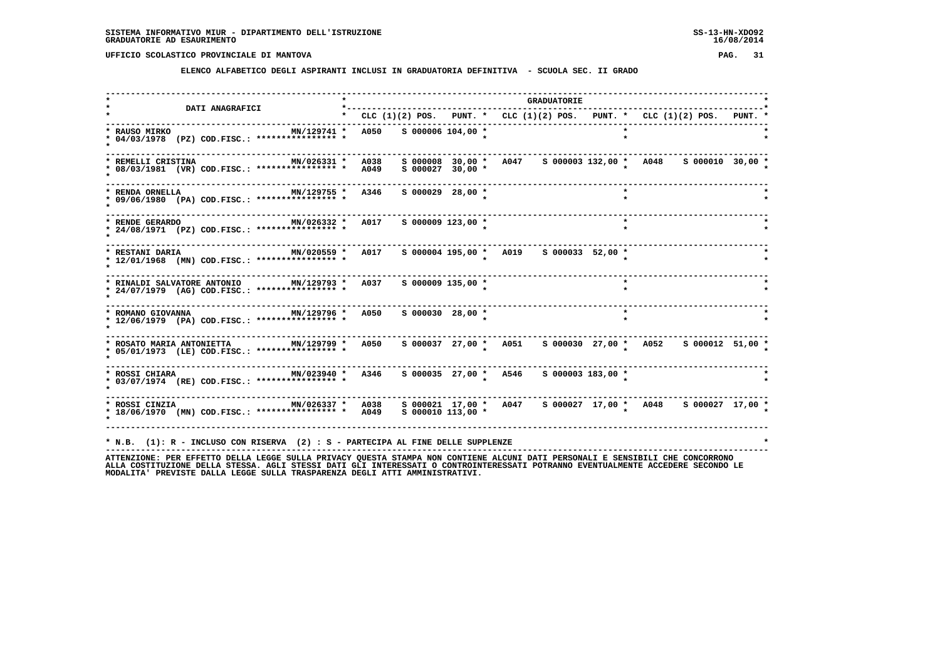**ELENCO ALFABETICO DEGLI ASPIRANTI INCLUSI IN GRADUATORIA DEFINITIVA - SCUOLA SEC. II GRADO**

| $\star$<br>MN/129741 *<br>A050<br>* 04/03/1978 (PZ) COD.FISC.: **************** *<br>MN/026331 *<br>A038<br>* 08/03/1981 (VR) COD.FISC.: **************** *<br>A049<br>A346<br>MN/129755 *<br>* 09/06/1980 (PA) COD.FISC.: *************** * |                                                                                                                                                                       | $S$ 000006 104,00 $*$<br>S 000008 30,00 *<br>$S$ 000027 30,00 $*$ | CLC (1)(2) POS. PUNT. * CLC (1)(2) POS. PUNT. * CLC (1)(2) POS. PUNT. *<br>A047 S 000003 132,00 * A048 |  |         |                                                                                                                                                                       |                                                                                                                              |
|----------------------------------------------------------------------------------------------------------------------------------------------------------------------------------------------------------------------------------------------|-----------------------------------------------------------------------------------------------------------------------------------------------------------------------|-------------------------------------------------------------------|--------------------------------------------------------------------------------------------------------|--|---------|-----------------------------------------------------------------------------------------------------------------------------------------------------------------------|------------------------------------------------------------------------------------------------------------------------------|
|                                                                                                                                                                                                                                              |                                                                                                                                                                       |                                                                   |                                                                                                        |  |         |                                                                                                                                                                       |                                                                                                                              |
|                                                                                                                                                                                                                                              |                                                                                                                                                                       |                                                                   |                                                                                                        |  |         |                                                                                                                                                                       |                                                                                                                              |
|                                                                                                                                                                                                                                              |                                                                                                                                                                       |                                                                   |                                                                                                        |  |         |                                                                                                                                                                       | $S$ 000010 30,00 $*$                                                                                                         |
|                                                                                                                                                                                                                                              |                                                                                                                                                                       | $S$ 000029 28,00 $*$                                              |                                                                                                        |  |         |                                                                                                                                                                       |                                                                                                                              |
| * RENDE GERARDO MIN/026332 *<br>* 24/08/1971 (PZ) COD.FISC.: **************** *                                                                                                                                                              |                                                                                                                                                                       |                                                                   |                                                                                                        |  | $\star$ |                                                                                                                                                                       |                                                                                                                              |
| MN/020559 *<br>* 12/01/1968 (MN) COD.FISC.: **************** *                                                                                                                                                                               |                                                                                                                                                                       |                                                                   |                                                                                                        |  |         |                                                                                                                                                                       |                                                                                                                              |
| MN/129793 *<br>* 24/07/1979 (AG) COD.FISC.: **************** *                                                                                                                                                                               |                                                                                                                                                                       |                                                                   |                                                                                                        |  |         |                                                                                                                                                                       |                                                                                                                              |
| * 12/06/1979 (PA) COD.FISC.: **************** *                                                                                                                                                                                              |                                                                                                                                                                       |                                                                   |                                                                                                        |  | $\star$ |                                                                                                                                                                       |                                                                                                                              |
| MN/129799 *<br>* 05/01/1973 (LE) COD.FISC.: **************** *                                                                                                                                                                               |                                                                                                                                                                       |                                                                   |                                                                                                        |  |         |                                                                                                                                                                       |                                                                                                                              |
| * 03/07/1974 (RE) COD.FISC.: **************** *                                                                                                                                                                                              |                                                                                                                                                                       |                                                                   |                                                                                                        |  |         |                                                                                                                                                                       |                                                                                                                              |
|                                                                                                                                                                                                                                              |                                                                                                                                                                       |                                                                   |                                                                                                        |  |         |                                                                                                                                                                       |                                                                                                                              |
|                                                                                                                                                                                                                                              | A017<br>A017<br>A037<br>MN/129796 * A050<br>A050<br>MN/023940 * A346<br>* ROSSI CINZIA * 1000 MN/026337 * 1038<br>* 18/06/1970 (MN) COD.FISC.: *************** * A049 |                                                                   | $S$ 000009 123,00 $*$<br>$S$ 000009 135,00 $*$<br>$S$ 000030 28,00 $*$<br>$S$ 000010 113,00 $*$        |  |         | S 000004 195,00 * A019 S 000033 52,00 *<br>S 000035 27,00 * A546 S 000003 183,00 *<br>* N.B. (1): R - INCLUSO CON RISERVA (2) : S - PARTECIPA AL FINE DELLE SUPPLENZE | s 000037 27,00 * A051 s 000030 27,00 * A052 s 000012 51,00 *<br>s 000021 17,00 * A047 s 000027 17,00 * A048 s 000027 17,00 * |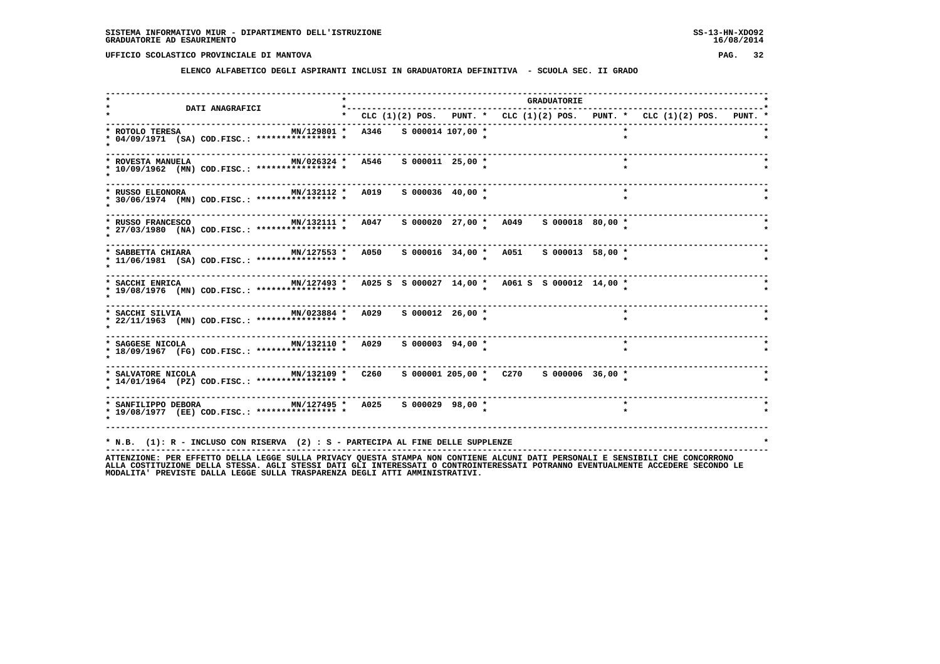**ELENCO ALFABETICO DEGLI ASPIRANTI INCLUSI IN GRADUATORIA DEFINITIVA - SCUOLA SEC. II GRADO**

| * CLC $(1)(2)$ POS. PUNT. * CLC $(1)(2)$ POS. PUNT. * CLC $(1)(2)$ POS. PUNT.<br>MN/129801 * A346 S 000014 107,00 *<br>MN/026324 * A546<br>$S$ 000011 25,00 *<br>$\star$<br>MN/132112 * A019 S 000036 40,00 *<br>MN/127553 * A050 S 000016 34,00 * A051 S 000013 58,00 * |                                                                                 |
|--------------------------------------------------------------------------------------------------------------------------------------------------------------------------------------------------------------------------------------------------------------------------|---------------------------------------------------------------------------------|
|                                                                                                                                                                                                                                                                          |                                                                                 |
|                                                                                                                                                                                                                                                                          |                                                                                 |
|                                                                                                                                                                                                                                                                          |                                                                                 |
|                                                                                                                                                                                                                                                                          |                                                                                 |
|                                                                                                                                                                                                                                                                          |                                                                                 |
|                                                                                                                                                                                                                                                                          |                                                                                 |
| MN/127493 * A025 S S 000027 14,00 * A061 S S 000012 14,00 *                                                                                                                                                                                                              |                                                                                 |
| MN/023884 * A029 S 000012 26,00 *<br>$\star$                                                                                                                                                                                                                             |                                                                                 |
| * SAGGESE NICOLA <b>MN/132110 *</b> A029<br>$S$ 000003 94,00 $*$<br>$\star$                                                                                                                                                                                              |                                                                                 |
|                                                                                                                                                                                                                                                                          |                                                                                 |
| * SANFILIPPO DEBORA MN/127495 * A025 S 000029 98,00 *                                                                                                                                                                                                                    |                                                                                 |
|                                                                                                                                                                                                                                                                          | * N.B. (1): R - INCLUSO CON RISERVA (2) : S - PARTECIPA AL FINE DELLE SUPPLENZE |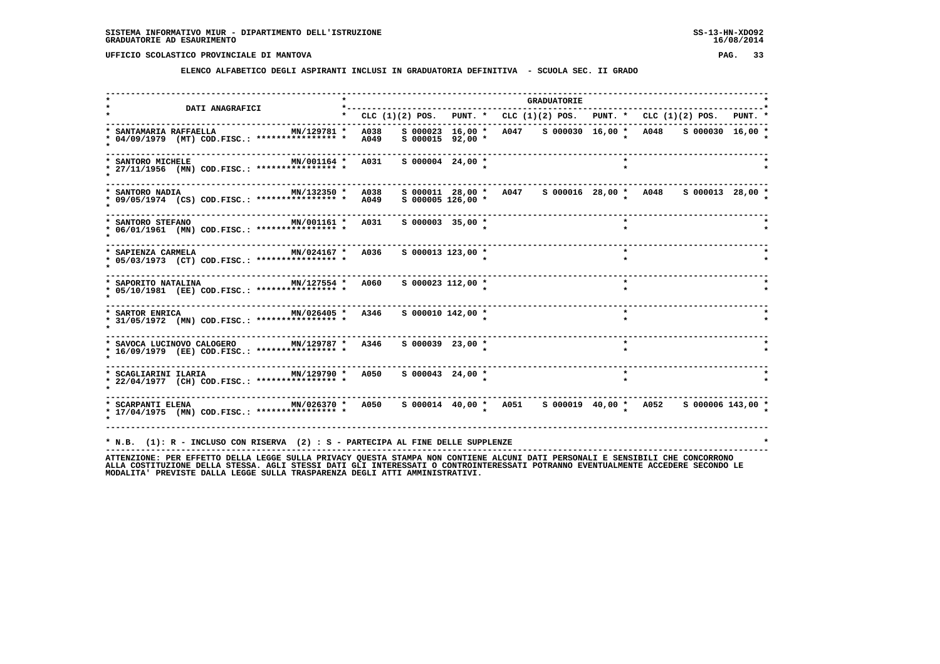**ELENCO ALFABETICO DEGLI ASPIRANTI INCLUSI IN GRADUATORIA DEFINITIVA - SCUOLA SEC. II GRADO**

|                                                                                                                              |         |              |                                          |  | <b>GRADUATORIE</b>                                                                                                     |         |  |
|------------------------------------------------------------------------------------------------------------------------------|---------|--------------|------------------------------------------|--|------------------------------------------------------------------------------------------------------------------------|---------|--|
| DATI ANAGRAFICI                                                                                                              | $\star$ |              |                                          |  | CLC $(1)(2)$ POS. PUNT. * CLC $(1)(2)$ POS. PUNT. * CLC $(1)(2)$ POS. PUNT. *                                          |         |  |
| ---------------------------------<br>* SANTAMARIA RAFFAELLA<br>MN/129781 *<br>* 04/09/1979 (MT) COD.FISC.: *************** * |         | A038<br>A049 | S 000023 16,00 *<br>$S$ 000015 92,00 $*$ |  | A047 S 000030 16,00 * A048 S 000030 16,00 *                                                                            |         |  |
| * SANTORO MICHELE<br>MN/001164 *<br>* 27/11/1956 (MN) COD.FISC.: **************** *                                          |         | A031         | $S$ 000004 24,00 *                       |  |                                                                                                                        |         |  |
| MN/132350 *<br>* SANTORO NADIA<br>* 09/05/1974 (CS) COD.FISC.: *************** *                                             |         | A038<br>A049 | $S$ 000005 126,00 *                      |  | s 000011 28,00 * A047 s 000016 28,00 * A048 s 000013 28,00 *                                                           |         |  |
| MN/001161 *<br>* SANTORO STEFANO<br>* 06/01/1961 (MN) COD.FISC.: **************** *                                          |         | A031         | $S$ 000003 35,00 $*$                     |  |                                                                                                                        |         |  |
| MN/024167 * A036<br>* SAPIENZA CARMELA<br>* 05/03/1973 (CT) COD.FISC.: **************** *                                    |         |              | $S$ 000013 123,00 *                      |  |                                                                                                                        | $\star$ |  |
| MN/127554 * A060<br>* SAPORITO NATALINA<br>* 05/10/1981 (EE) COD.FISC.: **************** *                                   |         |              | s 000023 112,00 *                        |  |                                                                                                                        | $\star$ |  |
| MN/026405 *<br>* SARTOR ENRICA<br>* 31/05/1972 (MN) COD.FISC.: **************** *                                            |         | A346         | S 000010 142,00 *                        |  |                                                                                                                        | $\star$ |  |
| $MN/129787$ *<br>* SAVOCA LUCINOVO CALOGERO<br>* 16/09/1979 (EE) COD.FISC.: **************** *                               |         | A346         | $S$ 000039 23,00 $*$                     |  |                                                                                                                        | $\star$ |  |
| MN/129790 *<br>* SCAGLIARINI ILARIA<br>* 22/04/1977 (CH) COD.FISC.: **************** *                                       |         | A050         | $S$ 000043 24,00 $*$                     |  |                                                                                                                        |         |  |
| MN/026370 * A050<br>* SCARPANTI ELENA<br>* 17/04/1975 (MN) COD.FISC.: **************** *                                     |         |              |                                          |  | $S\ 000014\quad 40,00\quad * \quad A051 \qquad S\ 000019\quad 40,00\quad * \quad A052 \qquad S\ 000006\ 143,00\quad *$ |         |  |
| * N.B. (1): R - INCLUSO CON RISERVA (2) : S - PARTECIPA AL FINE DELLE SUPPLENZE                                              |         |              |                                          |  |                                                                                                                        |         |  |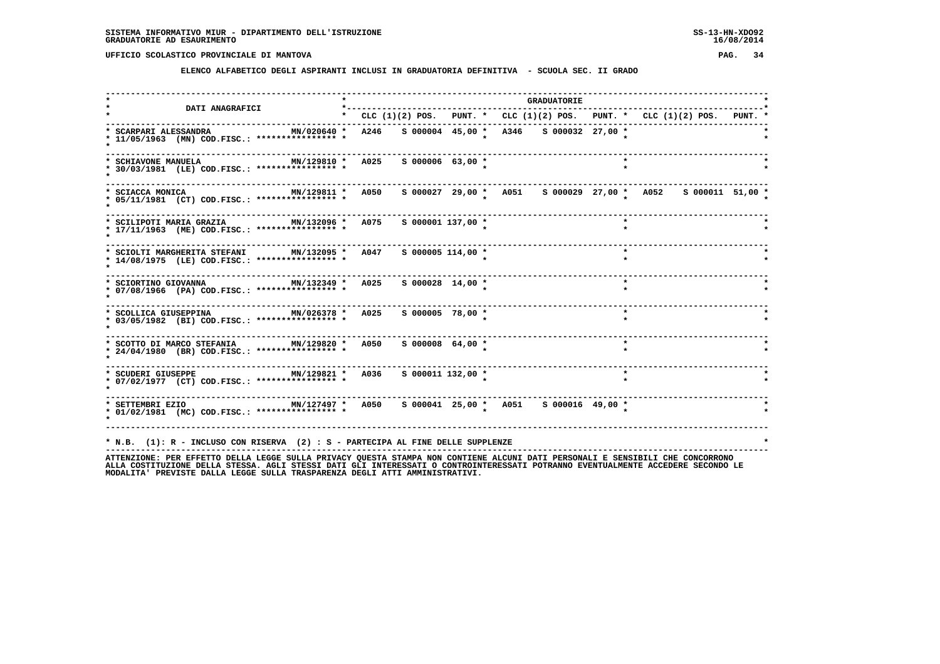**ELENCO ALFABETICO DEGLI ASPIRANTI INCLUSI IN GRADUATORIA DEFINITIVA - SCUOLA SEC. II GRADO**

|                                                                                                                                                         |  |                       |  |                                                                           | <b>GRADUATORIE</b> |         |  |  |
|---------------------------------------------------------------------------------------------------------------------------------------------------------|--|-----------------------|--|---------------------------------------------------------------------------|--------------------|---------|--|--|
| <b>DATI ANAGRAFICI</b><br>---------------------------------                                                                                             |  |                       |  | * CLC (1)(2) POS. PUNT. * CLC (1)(2) POS. PUNT. * CLC (1)(2) POS. PUNT. * |                    |         |  |  |
| * SCARPARI ALESSANDRA<br>MN/020640 *<br>* 11/05/1963 (MN) COD.FISC.: **************** *                                                                 |  |                       |  | A246 S 000004 45,00 * A346 S 000032 27,00 *                               |                    |         |  |  |
| MN/129810 * A025<br>* SCHIAVONE MANUELA<br>* 30/03/1981 (LE) COD.FISC.: **************** *                                                              |  | S 000006 63,00 *      |  |                                                                           |                    |         |  |  |
| MN/129811 * A050<br>* SCIACCA MONICA<br>* 05/11/1981 (CT) COD.FISC.: *************** *                                                                  |  |                       |  | s 000027 29,00 * A051 s 000029 27,00 * A052 s 000011 51,00 *              |                    |         |  |  |
| MN/132096 * A075<br>* SCILIPOTI MARIA GRAZIA<br>* 17/11/1963 (ME) COD.FISC.: **************** *                                                         |  | S 000001 137,00 *     |  |                                                                           |                    |         |  |  |
| * SCIOLTI MARGHERITA STEFANI MN/132095 * A047<br>* 14/08/1975 (LE) COD.FISC.: **************** *                                                        |  | $S$ 000005 114,00 $*$ |  |                                                                           |                    | $\star$ |  |  |
| MN/132349 * A025<br>* SCIORTINO GIOVANNA<br>* 07/08/1966 (PA) COD.FISC.: **************** *                                                             |  | S 000028 14,00 *      |  |                                                                           |                    | $\star$ |  |  |
| MN/026378 * A025 S 000005 78,00 *<br>* SCOLLICA GIUSEPPINA<br>* 03/05/1982 (BI) COD.FISC.: **************** *                                           |  |                       |  |                                                                           |                    | $\star$ |  |  |
| * SCOTTO DI MARCO STEFANIA MN/129820 * A050<br>* 24/04/1980 (BR) COD.FISC.: **************** *                                                          |  | $S$ 000008 64,00 *    |  |                                                                           |                    | $\star$ |  |  |
| * SCUDERI GIUSEPPE MN/129821 * A036 S 000011 132,00 *<br>* 07/02/1977 (CT) COD.FISC.: **************** *                                                |  |                       |  | --------------------------                                                |                    | $\star$ |  |  |
| * SETTEMBRI EZIO                   MN/127497 *   A050   S 000041  25,00 *   A051   S 000016  49,00 *<br>* 01/02/1981 (MC) COD.FISC.: **************** * |  |                       |  |                                                                           |                    |         |  |  |
| * N.B. (1): R - INCLUSO CON RISERVA (2) : S - PARTECIPA AL FINE DELLE SUPPLENZE                                                                         |  |                       |  |                                                                           |                    |         |  |  |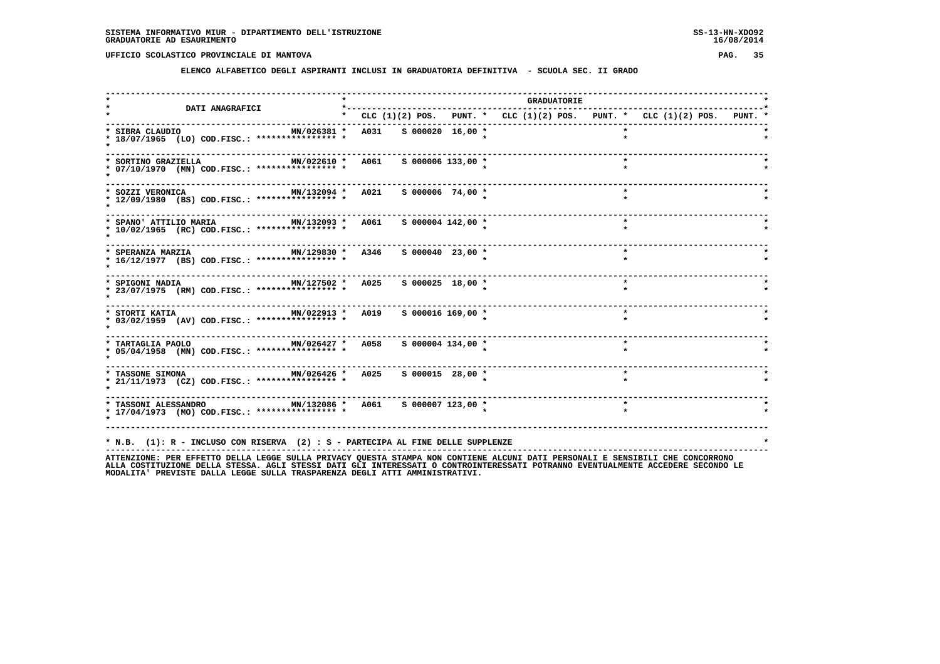**ELENCO ALFABETICO DEGLI ASPIRANTI INCLUSI IN GRADUATORIA DEFINITIVA - SCUOLA SEC. II GRADO**

| <b>DATI ANAGRAFICI</b>                                                                                                              | *---------                                                                |                      |  | <b>GRADUATORIE</b> |         |  |
|-------------------------------------------------------------------------------------------------------------------------------------|---------------------------------------------------------------------------|----------------------|--|--------------------|---------|--|
|                                                                                                                                     | * CLC (1)(2) POS. PUNT. * CLC (1)(2) POS. PUNT. * CLC (1)(2) POS. PUNT. * |                      |  |                    |         |  |
| * SIBRA CLAUDIO<br>* 18/07/1965 (LO) COD.FISC.: **************** *                                                                  | MN/026381 * A031 S 000020 16,00 *                                         |                      |  |                    |         |  |
| MN/022610 * A061<br>* SORTINO GRAZIELLA<br>* 07/10/1970 (MN) COD.FISC.: **************** *                                          |                                                                           | S 000006 133,00 *    |  |                    |         |  |
| * SOZZI VERONICA<br>* 12/09/1980 (BS) COD.FISC.: **************** *                                                                 | MN/132094 * A021 S 000006 74,00 *                                         |                      |  |                    | $\star$ |  |
| MN/132093 * A061 S 000004 142,00 *<br>* SPANO' ATTILIO MARIA<br>* 10/02/1965 (RC) COD.FISC.: **************** *                     |                                                                           |                      |  |                    | $\star$ |  |
| MN/129830 * A346<br>* SPERANZA MARZIA<br>* 16/12/1977 (BS) COD.FISC.: **************** *                                            |                                                                           | $S$ 000040 23,00 $*$ |  |                    | $\star$ |  |
| MN/127502 * A025<br>* SPIGONI NADIA<br>* 23/07/1975 (RM) COD.FISC.: **************** *                                              |                                                                           | $S$ 000025 18,00 $*$ |  |                    | $\star$ |  |
| MN/022913 * A019 S 000016 169,00 *<br>* STORTI KATIA<br>* 03/02/1959 (AV) COD.FISC.: **************** *                             |                                                                           |                      |  |                    | $\star$ |  |
| * TARTAGLIA PAOLO                       MN/026427 *   A058     S 000004 134,00 *<br>* 05/04/1958 (MN) COD.FISC.: **************** * |                                                                           |                      |  |                    | $\star$ |  |
| * TASSONE SIMONA $MN/026426$ * A025<br>* 21/11/1973 (CZ) COD.FISC.: **************** *                                              |                                                                           | $S$ 000015 28,00 $*$ |  |                    | $\star$ |  |
| * TASSONI ALESSANDRO                 MN/132086 *   A061     S 000007 123,00 *<br>* 17/04/1973 (MO) COD.FISC.: **************** *    |                                                                           |                      |  |                    |         |  |
|                                                                                                                                     |                                                                           |                      |  |                    |         |  |
| * N.B. (1): R - INCLUSO CON RISERVA (2) : S - PARTECIPA AL FINE DELLE SUPPLENZE                                                     |                                                                           |                      |  |                    |         |  |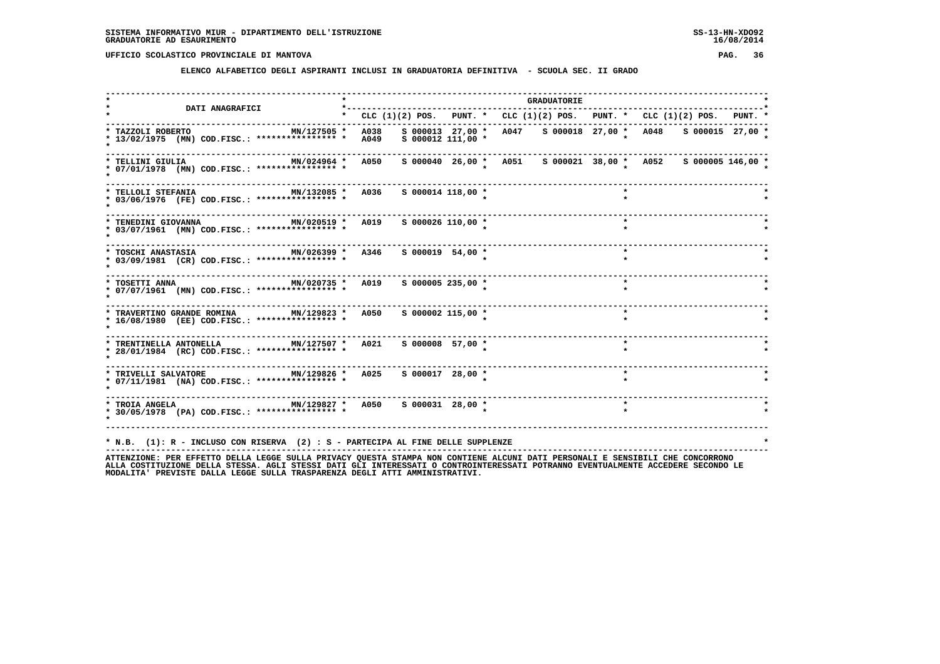**ELENCO ALFABETICO DEGLI ASPIRANTI INCLUSI IN GRADUATORIA DEFINITIVA - SCUOLA SEC. II GRADO**

| <b>DATI ANAGRAFICI</b>                                                                                          | $*$ - - - - - - - - -                                                     |                       | <b>GRADUATORIE</b>                                            |  |         |  |  |
|-----------------------------------------------------------------------------------------------------------------|---------------------------------------------------------------------------|-----------------------|---------------------------------------------------------------|--|---------|--|--|
|                                                                                                                 | * CLC (1)(2) POS. PUNT. * CLC (1)(2) POS. PUNT. * CLC (1)(2) POS. PUNT. * |                       |                                                               |  |         |  |  |
| * TAZZOLI ROBERTO<br>MN/127505 *<br>* 13/02/1975 (MN) COD.FISC.: **************** *                             | A038<br>A049                                                              | $S$ 000012 111,00 *   | s 000013 27,00 * A047 s 000018 27,00 * A048 s 000015 27,00 *  |  |         |  |  |
| MN/024964 *<br>* TELLINI GIULIA<br>* 07/01/1978 (MN) COD.FISC.: **************** *                              | A050                                                                      |                       | s 000040 26,00 * A051 s 000021 38,00 * A052 s 000005 146,00 * |  |         |  |  |
| * TELLOLI STEFANIA<br>MN/132085 *<br>* 03/06/1976 (FE) COD.FISC.: **************** *                            | A036                                                                      | $S$ 000014 118,00 *   |                                                               |  | $\star$ |  |  |
| MN/020519 * A019<br>* TENEDINI GIOVANNA<br>* 03/07/1961 (MN) COD.FISC.: **************** *                      |                                                                           | $S$ 000026 110,00 $*$ |                                                               |  | $\star$ |  |  |
| MN/026399 * A346<br>* TOSCHI ANASTASIA<br>* 03/09/1981 (CR) COD.FISC.: **************** *                       |                                                                           | $S$ 000019 54,00 *    |                                                               |  | $\star$ |  |  |
| MN/020735 *<br>* TOSETTI ANNA<br>* 07/07/1961 (MN) COD.FISC.: **************** *                                | A019                                                                      | $S$ 000005 235,00 $*$ |                                                               |  | $\star$ |  |  |
| * TRAVERTINO GRANDE ROMINA MN/129823 * A050<br>* 16/08/1980 (EE) COD.FISC.: **************** *                  |                                                                           | S 000002 115,00 *     |                                                               |  | $\star$ |  |  |
| * TRENTINELLA ANTONELLA $MN/127507$ * A021 \$ 000008 57,00 *<br>* 28/01/1984 (RC) COD.FISC.: **************** * |                                                                           |                       |                                                               |  |         |  |  |
| * TRIVELLI SALVATORE MN/129826 * A025<br>* 07/11/1981 (NA) COD.FISC.: **************** *                        |                                                                           | $S$ 000017 28,00 $*$  |                                                               |  |         |  |  |
| * 30/05/1978 (PA) COD.FISC.: **************** *                                                                 |                                                                           |                       |                                                               |  |         |  |  |
| * N.B. (1): R - INCLUSO CON RISERVA (2) : S - PARTECIPA AL FINE DELLE SUPPLENZE                                 |                                                                           |                       |                                                               |  |         |  |  |
|                                                                                                                 |                                                                           |                       |                                                               |  |         |  |  |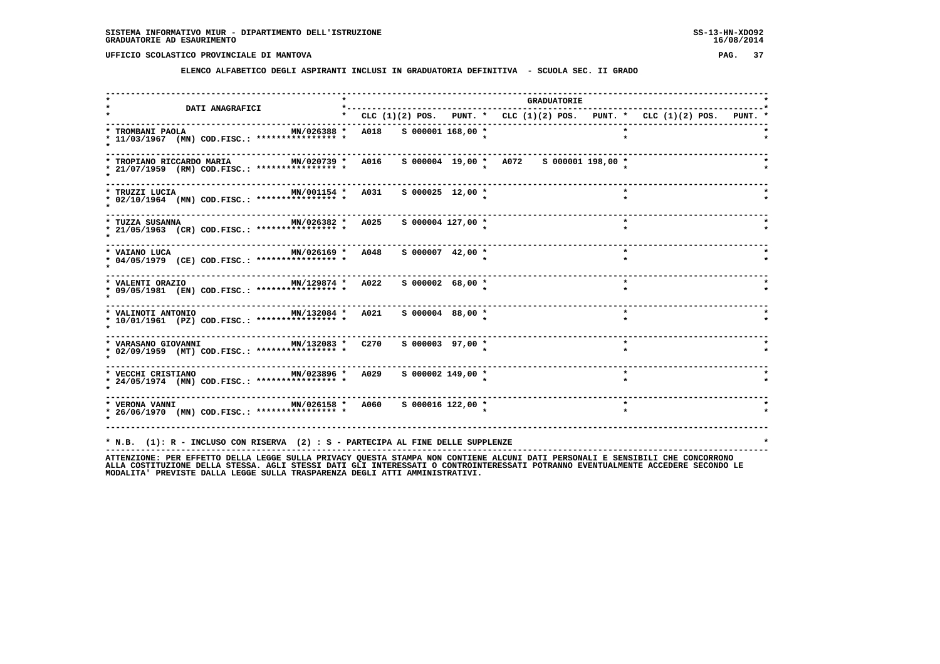**ELENCO ALFABETICO DEGLI ASPIRANTI INCLUSI IN GRADUATORIA DEFINITIVA - SCUOLA SEC. II GRADO**

| <b>DATI ANAGRAFICI</b>                                                                                                                       | *---------                                                                      |                   |  | <b>GRADUATORIE</b> |         |  |  |  |
|----------------------------------------------------------------------------------------------------------------------------------------------|---------------------------------------------------------------------------------|-------------------|--|--------------------|---------|--|--|--|
|                                                                                                                                              | * CLC $(1)(2)$ POS. PUNT. * CLC $(1)(2)$ POS. PUNT. * CLC $(1)(2)$ POS. PUNT. * |                   |  |                    |         |  |  |  |
| * TROMBANI PAOLA<br>MN/026388 *<br>* 11/03/1967 (MN) COD.FISC.: **************** *                                                           | A018 S 000001 168,00 *                                                          |                   |  |                    |         |  |  |  |
| MN/020739 * A016 S 000004 19,00 * A072 S 000001 198,00 *<br>* TROPIANO RICCARDO MARIA<br>* 21/07/1959 (RM) COD.FISC.: **************** *     |                                                                                 |                   |  |                    |         |  |  |  |
| MN/001154 * A031 S 000025 12,00 *<br>* TRUZZI LUCIA<br>* 02/10/1964 (MN) COD.FISC.: **************** *                                       |                                                                                 |                   |  |                    | $\star$ |  |  |  |
| MN/026382 * A025<br>* TUZZA SUSANNA<br>* 21/05/1963 (CR) COD.FISC.: **************** *                                                       |                                                                                 | S 000004 127,00 * |  |                    | $\star$ |  |  |  |
| MN/026169 * A048<br>* VAIANO LUCA<br>* 04/05/1979 (CE) COD.FISC.: **************** *                                                         |                                                                                 | S 000007 42,00 *  |  |                    | $\star$ |  |  |  |
| MN/129874 * A022 S 000002 68,00 *<br>* VALENTI ORAZIO<br>* 09/05/1981 (EN) COD.FISC.: **************** *                                     |                                                                                 |                   |  |                    | $\star$ |  |  |  |
| * VALINOTI ANTONIO                 MN/132084 *   A021     5 000004   88,00 *<br>* 10/01/1961 (PZ) COD.FISC.: **************** *              |                                                                                 |                   |  |                    | $\star$ |  |  |  |
| * 02/09/1959 (MT) COD.FISC.: **************** *                                                                                              |                                                                                 |                   |  |                    | $\star$ |  |  |  |
| * VECCHI CRISTIANO                   MN/023896 *   A029     S 000002 149,00 *<br>* 24/05/1974 (MN) COD.FISC.: **************** *             |                                                                                 |                   |  |                    | $\star$ |  |  |  |
| * VERONA VANNI                                   MN/026158 *   A060     S 000016 122,00 *<br>* 26/06/1970 (MN) COD.FISC.: **************** * |                                                                                 |                   |  |                    | $\star$ |  |  |  |
|                                                                                                                                              |                                                                                 |                   |  |                    |         |  |  |  |
| * N.B. (1): R - INCLUSO CON RISERVA (2) : S - PARTECIPA AL FINE DELLE SUPPLENZE                                                              |                                                                                 |                   |  |                    |         |  |  |  |